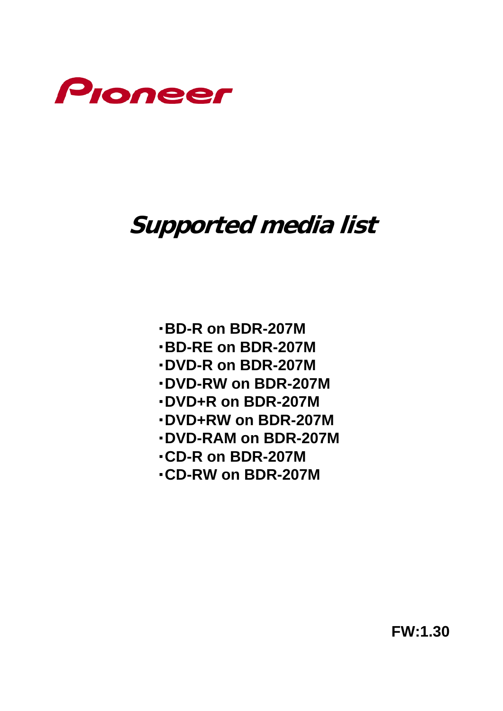

# **Supported media list**

- ・**BD-R on BDR-207M**
- ・**BD-RE on BDR-207M**
- ・**DVD-R on BDR-207M**
- ・**DVD-RW on BDR-207M**
- ・**DVD+R on BDR-207M**
- ・**DVD+RW on BDR-207M**
- ・**DVD-RAM on BDR-207M**
- ・**CD-R on BDR-207M**
- ・**CD-RW on BDR-207M**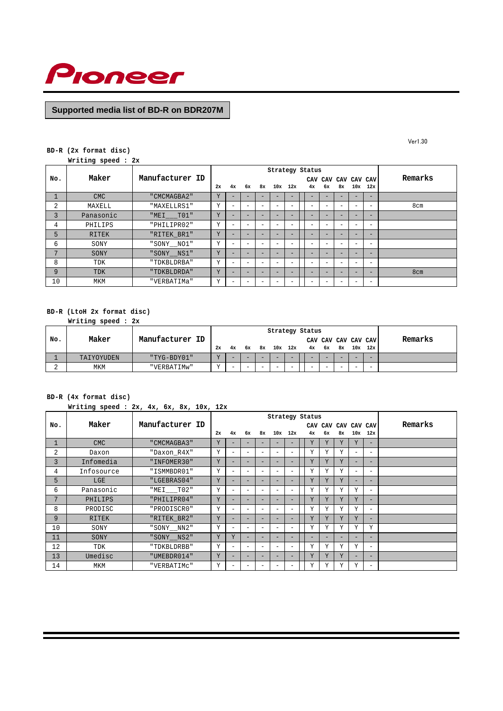

# **Supported media list of BD-R on BDR207M**

#### **BD-R (2x format disc)**

**Writing speed : 2x**

|     |            |                 |    |                          |                          |                          |                          | Strategy Status |                          |                          |                       |                          |                          |         |
|-----|------------|-----------------|----|--------------------------|--------------------------|--------------------------|--------------------------|-----------------|--------------------------|--------------------------|-----------------------|--------------------------|--------------------------|---------|
| No. | Maker      | Manufacturer ID | 2x | 4x                       | 6x                       | 8x                       |                          | $10x$ $12x$     | CAV<br>4x                | 6x                       | CAV CAV CAV CAV<br>8x | 10x                      | 12x                      | Remarks |
|     | <b>CMC</b> | "CMCMAGBA2"     | Y  |                          |                          |                          |                          |                 |                          |                          |                       |                          | -                        |         |
| 2   | MAXELL     | "MAXELLRS1"     | Y  | -                        | $\overline{\phantom{0}}$ | $\overline{\phantom{0}}$ | $\overline{\phantom{0}}$ | -               | $\overline{\phantom{0}}$ | $\overline{\phantom{0}}$ | -                     | $\overline{\phantom{m}}$ | $\overline{\phantom{m}}$ | 8cm     |
| 3   | Panasonic  | "MEI TO1"       | Y  |                          |                          |                          |                          |                 |                          |                          |                       |                          | -                        |         |
| 4   | PHILIPS    | "PHILIPR02"     | Y  | -                        | -                        | -                        | $\overline{\phantom{0}}$ | -               | $\overline{\phantom{0}}$ | $\overline{\phantom{0}}$ | -                     | $\overline{\phantom{m}}$ | $\overline{\phantom{m}}$ |         |
| 5   | RITEK      | "RITEK_BR1"     | Y  | -                        | $-$                      | ÷                        | $\overline{\phantom{0}}$ | -               | ÷                        | $\overline{\phantom{0}}$ | -                     | $\overline{\phantom{0}}$ | $\overline{\phantom{0}}$ |         |
| 6   | SONY       | "SONY NO1"      | Υ  |                          |                          |                          |                          |                 |                          |                          |                       |                          | $\overline{\phantom{m}}$ |         |
| 7   | SONY       | "SONY NS1"      | Y  | -                        | <b>.</b>                 | ÷                        | $-$                      | -               | ÷                        | $\overline{\phantom{0}}$ | Ξ.                    | -                        | $\overline{\phantom{0}}$ |         |
| 8   | TDK        | "TDKBLDRBA"     | Y  | $\overline{\phantom{m}}$ | $\overline{\phantom{m}}$ | $\overline{\phantom{a}}$ | $\overline{\phantom{0}}$ | -               | $\overline{\phantom{a}}$ | $\overline{\phantom{0}}$ | -                     | $\overline{\phantom{a}}$ | $\overline{\phantom{m}}$ |         |
| 9   | TDK        | "TDKBLDRDA"     | Y  |                          |                          |                          |                          |                 |                          |                          |                       |                          | -                        | 8cm     |
| 10  | MKM        | "VERBATIMa"     | Υ  | -                        | -                        |                          | -                        |                 | -                        | -                        | -                     | <b>-</b>                 | $\overline{\phantom{m}}$ |         |

# **BD-R (LtoH 2x format disc)**

**Writing speed : 2x**

|     |            |                 |    |                          |                          |                          |                          |                          | Strategy Status          |                     |                          |                          |   |         |
|-----|------------|-----------------|----|--------------------------|--------------------------|--------------------------|--------------------------|--------------------------|--------------------------|---------------------|--------------------------|--------------------------|---|---------|
| No. | Maker      | Manufacturer ID |    |                          |                          |                          |                          |                          |                          | CAV CAV CAV CAV CAV |                          |                          |   | Remarks |
|     |            |                 | 2x | 4x                       |                          |                          |                          | 6x 8x 10x 12x            |                          | $4x$ $6x$           | 8x                       | $10x$ 12x                |   |         |
|     | TAIYOYUDEN | "TYG-BDY01"     | 77 |                          |                          | -                        |                          |                          | -                        |                     |                          | $\overline{\phantom{0}}$ |   |         |
|     | MKM        | "VERBATIMw"     | 77 | $\overline{\phantom{0}}$ | $\overline{\phantom{0}}$ | $\overline{\phantom{0}}$ | $\overline{\phantom{0}}$ | $\overline{\phantom{0}}$ | $\overline{\phantom{0}}$ | -                   | $\overline{\phantom{0}}$ | $\overline{\phantom{a}}$ | - |         |

# **BD-R (4x format disc)**

#### **Writing speed : 2x, 4x, 6x, 8x, 10x, 12x**

|                | - - -      |                 |    |                          |                          |                          |                          | Strategy Status          |                   |                   |    |                          |                          |         |
|----------------|------------|-----------------|----|--------------------------|--------------------------|--------------------------|--------------------------|--------------------------|-------------------|-------------------|----|--------------------------|--------------------------|---------|
| No.            | Maker      | Manufacturer ID |    |                          |                          |                          |                          |                          | CAV               | CAV               |    |                          | CAV CAV CAV              | Remarks |
|                |            |                 | 2x | 4x                       | 6x                       | 8x                       | 10x                      | 12x                      | 4x                | 6x                | 8x | 10x                      | 12x                      |         |
| $\mathbf{1}$   | <b>CMC</b> | "CMCMAGBA3"     | Υ  | $-$                      |                          |                          |                          |                          | Υ                 | Y                 | Y  | Y                        | $-$                      |         |
| 2              | Daxon      | "Daxon_R4X"     | Υ  | $\overline{\phantom{m}}$ | -                        | $\overline{\phantom{a}}$ | $\overline{\phantom{a}}$ | $\overline{\phantom{0}}$ | Υ                 | Υ                 | Υ  | $\overline{\phantom{a}}$ | $\qquad \qquad -$        |         |
| $\overline{3}$ | Infomedia  | "INFOMER30"     | Y  | $-$                      |                          | $\qquad \qquad -$        | $\qquad \qquad -$        | -                        | Y                 | Y                 | Y  | $\qquad \qquad -$        | $-$                      |         |
| 4              | Infosource | "ISMMBDR01"     | Υ  | $\overline{\phantom{m}}$ | -                        | $\overline{\phantom{m}}$ | $\overline{\phantom{m}}$ | -                        | Υ                 | Υ                 | Y  | $\overline{\phantom{m}}$ | $\overline{\phantom{a}}$ |         |
| 5              | LGE        | "LGEBRAS04"     | Y  | $\qquad \qquad -$        | -                        | $\qquad \qquad -$        | $\qquad \qquad -$        | -                        | Y                 | Y                 | Y  | $\qquad \qquad -$        | $-$                      |         |
| 6              | Panasonic  | "MEI T02"       | Υ  | $\overline{\phantom{0}}$ | $\overline{\phantom{m}}$ | $\overline{\phantom{a}}$ | $\qquad \qquad -$        | -                        | Υ                 | Y                 | Y  | Y                        | $\qquad \qquad -$        |         |
| 7              | PHILIPS    | "PHILIPR04"     | Y  | $\equiv$                 | -                        | $-$                      | $\equiv$                 | -                        | Y                 | Y                 | Y  | Y                        | $\equiv$                 |         |
| 8              | PRODISC    | "PRODISCRO"     | Y  | $\overline{\phantom{0}}$ | -                        | $\overline{\phantom{a}}$ | $\overline{\phantom{0}}$ |                          | Υ                 | Y                 | Y  | Y                        | $\qquad \qquad -$        |         |
| 9              | RITEK      | "RITEK_BR2"     | Υ  | $-$                      |                          | $\qquad \qquad -$        | $\qquad \qquad -$        |                          | Y                 | Y                 | Y  | Y                        | $\equiv$                 |         |
| 10             | SONY       | "SONY NN2"      | Υ  | $\overline{\phantom{m}}$ | -                        | $\overline{\phantom{m}}$ | $\overline{\phantom{m}}$ | -                        | Υ                 | Y                 | Y  | Υ                        | Y                        |         |
| 11             | SONY       | "SONY_NS2"      | Y  | Y                        | -                        | $\qquad \qquad -$        | $\overline{\phantom{0}}$ | -                        | $\qquad \qquad -$ | $\qquad \qquad -$ | -  | $\overline{\phantom{0}}$ | $-$                      |         |
| 12             | TDK        | "TDKBLDRBB"     | Υ  | $\overline{\phantom{m}}$ | $\overline{\phantom{m}}$ | $\overline{\phantom{0}}$ | $\overline{\phantom{a}}$ | $\overline{\phantom{0}}$ | Υ                 | Y                 | Υ  | Υ                        | $\qquad \qquad -$        |         |
| 13             | Umedisc    | "UMEBDR014"     | Y  | $\qquad \qquad -$        | -                        | $\qquad \qquad -$        | $-$                      | -                        | Y                 | Y                 | Y  | $-$                      | $-$                      |         |
| 14             | MKM        | "VERBATIMC"     | Y  |                          | $\overline{\phantom{m}}$ | $\overline{\phantom{m}}$ | $\overline{\phantom{0}}$ |                          | Υ                 | Y                 | Y  | Y                        | $\qquad \qquad -$        |         |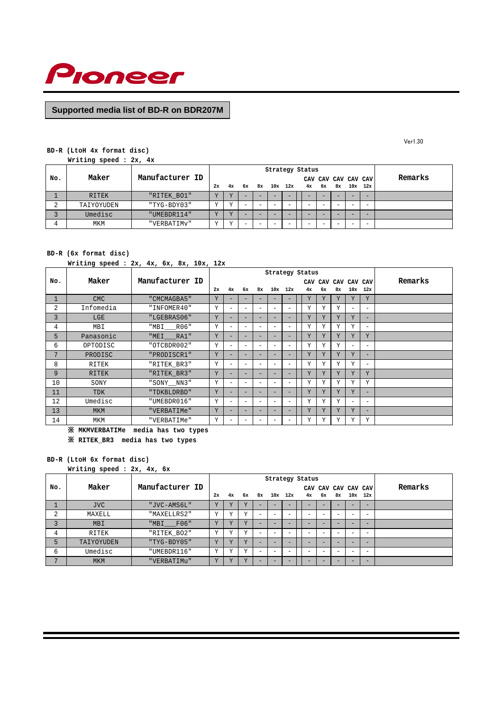

# **Supported media list of BD-R on BDR207M**

Ver1.30

#### **BD-R (LtoH 4x format disc)**

**Writing speed : 2x, 4x**

|             |              |                          |    |              |    |                          |        | Strategy Status          |                          |                     |    |                          |             |         |
|-------------|--------------|--------------------------|----|--------------|----|--------------------------|--------|--------------------------|--------------------------|---------------------|----|--------------------------|-------------|---------|
| No.         | Maker        | Manufacturer ID          |    |              |    |                          |        |                          |                          | CAV CAV CAV CAV CAV |    |                          |             | Remarks |
|             |              |                          | 2x | 4x           | 6x |                          |        | 8x 10x 12x               |                          | $4x$ $6x$           | 8x |                          | $10x$ $12x$ |         |
|             | <b>RITEK</b> | "RITEK_BO1"              |    | 77           |    | -                        | -      |                          | -                        |                     |    | -                        |             |         |
| $\sim$<br>▵ | TAIYOYUDEN   | "TYG-BDY03"              |    | $\mathbf{v}$ | -  | $\overline{\phantom{0}}$ | $\sim$ | $\overline{\phantom{0}}$ | $\overline{\phantom{0}}$ | -                   |    | $\overline{\phantom{0}}$ | -           |         |
|             | Umedisc      | "UMEBDR114"              |    | 77           |    | -                        |        |                          | -                        |                     |    | -                        | -           |         |
|             | MKM          | "VERBATIM <sub>V</sub> " |    | <b>TT</b>    |    | -                        | $\sim$ |                          | $\overline{\phantom{0}}$ | -                   |    | -                        | ÷           |         |

#### **BD-R (6x format disc)**

**Writing speed : 2x, 4x, 6x, 8x, 10x, 12x**

|                |              |                 |    |                          |                          |                          |                          | Strategy Status          |     |     |    |                          |                          |         |
|----------------|--------------|-----------------|----|--------------------------|--------------------------|--------------------------|--------------------------|--------------------------|-----|-----|----|--------------------------|--------------------------|---------|
| No.            | Maker        | Manufacturer ID |    |                          |                          |                          |                          |                          | CAV | CAV |    | CAV CAV CAV              |                          | Remarks |
|                |              |                 | 2x | 4x                       | 6x                       | 8x                       | 10x                      | 12x                      | 4x  | 6x  | 8x | 10x                      | 12x                      |         |
| $\mathbf{1}$   | <b>CMC</b>   | "CMCMAGBA5"     | Y  |                          |                          | $\overline{\phantom{0}}$ |                          | $\overline{\phantom{a}}$ | Y   | Y   | Y  | Y                        | Y                        |         |
| $\overline{2}$ | Infomedia    | "INFOMER40"     | Υ  | $\qquad \qquad =$        | $\overline{\phantom{0}}$ | -                        | $-$                      | $-$                      | Υ   | Y   | Y  | $\overline{\phantom{0}}$ | $\overline{\phantom{m}}$ |         |
| 3              | <b>LGE</b>   | "LGEBRAS06"     | Y  | -                        | $\overline{\phantom{a}}$ | $\qquad \qquad -$        | $\overline{\phantom{a}}$ | $\overline{\phantom{a}}$ | Y   | Y   | Y  | Y                        | $\qquad \qquad =$        |         |
| 4              | MBI          | R06"<br>"MBI    | Υ  | $\qquad \qquad =$        | $\qquad \qquad =$        | $\equiv$                 | $\qquad \qquad =$        | $-$                      | Υ   | Y   | Υ  | Υ                        | $\overline{\phantom{m}}$ |         |
| 5              | Panasonic    | "MEI<br>RA1"    | Y  | $\overline{\phantom{a}}$ | $\overline{\phantom{a}}$ | $\overline{\phantom{a}}$ | $\overline{\phantom{a}}$ | $\overline{\phantom{a}}$ | Y   | Y   | Y  | Y                        | Y                        |         |
| 6              | OPTODISC     | "OTCBDR002"     | Υ  | $\qquad \qquad =$        | $-$                      | $\qquad \qquad$          | $-$                      | $-$                      | Υ   | Y   | Y  | $\overline{\phantom{m}}$ | $\overline{\phantom{a}}$ |         |
| 7              | PRODISC      | "PRODISCR1"     | Y  | -                        | $\overline{\phantom{a}}$ | $\qquad \qquad -$        | $\overline{\phantom{a}}$ | $\overline{\phantom{a}}$ | Y   | Y   | Y  | Y                        | $\qquad \qquad =$        |         |
| 8              | RITEK        | "RITEK_BR3"     | Υ  | $\qquad \qquad =$        | $\overline{\phantom{m}}$ | $\equiv$                 | $\qquad \qquad =$        | $-$                      | Υ   | Y   | Y  | Y                        | $\overline{\phantom{m}}$ |         |
| 9              | <b>RITEK</b> | "RITEK BR3"     | Y  | $\overline{\phantom{a}}$ |                          | $\overline{\phantom{a}}$ |                          | $\overline{\phantom{a}}$ | Y   | Y   | Y  | Y                        | Y                        |         |
| 10             | SONY         | "SONY NN3"      | Υ  | $\qquad \qquad =$        | $\overline{\phantom{m}}$ | $\qquad \qquad$          | $\qquad \qquad =$        | $-$                      | Υ   | Y   | Y  | Y                        | Y                        |         |
| 11             | <b>TDK</b>   | "TDKBLDRBD"     | Υ  | $\overline{\phantom{a}}$ | $\overline{\phantom{0}}$ | $\qquad \qquad -$        | $\overline{\phantom{a}}$ | $\overline{\phantom{0}}$ | Y   | Y   | Y  | Y                        | $\qquad \qquad =$        |         |
| 12             | Umedisc      | "UMEBDR016"     | Υ  | -                        | $\overline{\phantom{a}}$ | $\overline{\phantom{a}}$ | -                        | $\qquad \qquad -$        | Υ   | Y   | Y  | $\overline{\phantom{a}}$ | $\overline{\phantom{a}}$ |         |
| 13             | <b>MKM</b>   | "VERBATIMe"     | Y  | -                        | -                        | $\qquad \qquad -$        | $\overline{\phantom{0}}$ | $\overline{\phantom{0}}$ | Y   | Y   | Y  | Y                        | $\qquad \qquad -$        |         |
| 14             | MKM          | "VERBATIMe"     | Y  |                          | $-$                      | -                        | -                        |                          | Y   | Y   | Y  | Y                        | Y                        |         |

※ **MKMVERBATIMe media has two types**

※ **RITEK\_BR3 media has two types**

**BD-R (LtoH 6x format disc)**

**Writing speed : 2x, 4x, 6x**

|              |            |                 |              |              |                         |   |   |               | Strategy Status          |                                  |            |                          |         |
|--------------|------------|-----------------|--------------|--------------|-------------------------|---|---|---------------|--------------------------|----------------------------------|------------|--------------------------|---------|
| No.          | Maker      | Manufacturer ID | 2x           |              |                         |   |   |               |                          | CAV CAV CAV CAV CAV<br>$4x$ $6x$ | 8x 10x 12x |                          | Remarks |
|              |            |                 |              | 4x           |                         |   |   | 6x 8x 10x 12x |                          |                                  |            |                          |         |
|              | <b>JVC</b> | "JVC-AMS6L"     |              |              |                         |   |   |               |                          |                                  |            |                          |         |
| $\sim$       | MAXELL     | "MAXELLRS2"     | $\mathbf{v}$ | $\mathbf{v}$ | v                       |   | - |               | -                        |                                  | -          | ÷                        |         |
| 3            | <b>MBI</b> | "MBI F06"       |              |              | 77                      |   |   |               |                          |                                  |            |                          |         |
|              | RITEK      | "RITEK BO2"     | 77           | $\mathbf{v}$ | $\mathbf{v}$            | - |   |               | -                        |                                  |            | $\overline{\phantom{a}}$ |         |
|              | TAIYOYUDEN | "TYG-BDY05"     |              |              | $\overline{\mathbf{v}}$ |   |   |               | $\qquad \qquad =$        |                                  | -          | ÷                        |         |
| б            | Umedisc    | "UMEBDR116"     | $\mathbf{v}$ | Y            | $\tau$                  |   |   |               | -                        |                                  |            | $\overline{\phantom{a}}$ |         |
| $\mathbf{r}$ | <b>MKM</b> | "VERBATIMu"     | 77           | 77           | $\tau$                  |   |   |               | $\overline{\phantom{a}}$ |                                  | -          | ÷                        |         |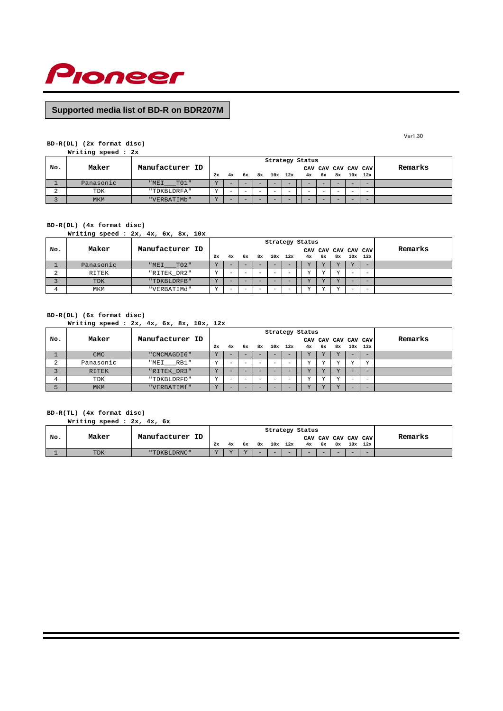

# **Supported media list of BD-R on BDR207M**

**BD-R(DL) (2x format disc)**

**Writing speed : 2x**

|     |           |                 |           |     |    |                          |                          |            | Strategy Status          |                     |                          |                          |         |
|-----|-----------|-----------------|-----------|-----|----|--------------------------|--------------------------|------------|--------------------------|---------------------|--------------------------|--------------------------|---------|
| No. | Maker     | Manufacturer ID |           |     |    |                          |                          |            |                          | CAV CAV CAV CAV CAV |                          |                          | Remarks |
|     |           |                 | 2x        | 4x  | 6x |                          |                          | 8x 10x 12x |                          | 4x 6x 8x            |                          | $10x$ 12x                |         |
|     | Panasonic | "MEI TO1"       | T         |     |    |                          | -                        |            |                          |                     |                          |                          |         |
|     | TDK       | "TDKBLDRFA"     | <b>TT</b> | $-$ |    | $\overline{\phantom{a}}$ | $\overline{\phantom{a}}$ |            | $\overline{\phantom{0}}$ |                     | $\overline{\phantom{a}}$ | $\overline{\phantom{a}}$ |         |
|     | MKM       | "VERBATIMb"     |           | -   |    | -                        | -                        |            | -                        |                     |                          | -                        |         |

#### **BD-R(DL) (4x format disc)**

**Writing speed : 2x, 4x, 6x, 8x, 10x**

|     |           |                 |               |    |    |                          |                          | Strategy Status |           |                           |     |                          |         |
|-----|-----------|-----------------|---------------|----|----|--------------------------|--------------------------|-----------------|-----------|---------------------------|-----|--------------------------|---------|
| No. | Maker     | Manufacturer ID | 2x            | 4x | 6ж | 8x                       |                          | $10x$ $12x$     | $4x$ $6x$ | CAV CAV CAV CAV CAV<br>8x | 10x | 12x                      | Remarks |
|     |           |                 |               |    |    |                          |                          |                 |           |                           |     |                          |         |
|     | Panasonic | "MEI T02"       |               | -  |    | -                        | $\overline{\phantom{a}}$ |                 |           | <b>TT</b>                 |     | -                        |         |
|     | RITEK     | "RITEK DR2"     | 77            |    |    |                          |                          |                 |           | ステ                        |     | $\sim$                   |         |
|     | TDK       | "TDKBLDRFB"     |               |    |    |                          |                          |                 |           |                           |     |                          |         |
|     | MKM       | "VERBATIMd"     | $\rightarrow$ |    |    | $\overline{\phantom{a}}$ |                          |                 |           | ステ                        |     | $\overline{\phantom{a}}$ |         |

#### **BD-R(DL) (6x format disc)**

**Writing speed : 2x, 4x, 6x, 8x, 10x, 12x**

|             |            |                 |           |    |  |                          | Strategy Status |           |                         |                          |                          |         |
|-------------|------------|-----------------|-----------|----|--|--------------------------|-----------------|-----------|-------------------------|--------------------------|--------------------------|---------|
| No.         | Maker      | Manufacturer ID |           |    |  |                          |                 |           | CAV CAV CAV CAV CAV     |                          |                          | Remarks |
|             |            |                 | 2x        | 4x |  |                          | 6x 8x 10x 12x   |           | $4x$ $6x$ $8x$          |                          | $10x$ $12x$              |         |
|             | <b>CMC</b> | "CMCMAGDI6"     |           |    |  |                          |                 |           |                         |                          |                          |         |
| $\sim$<br>▵ | Panasonic  | "MEI RB1"       | <b>TP</b> |    |  |                          |                 | T         | <b>TT</b>               | <b>TF</b>                | 37                       |         |
|             | RITEK      | "RITEK_DR3"     |           | -  |  | -                        |                 | 77        | $\overline{\mathbf{v}}$ | $\overline{\phantom{a}}$ | -                        |         |
| 4           | TDK        | "TDKBLDRFD"     | <b>TF</b> |    |  | $\overline{\phantom{0}}$ |                 | <b>TT</b> | <b>TT</b>               | $\overline{\phantom{a}}$ | $\overline{\phantom{a}}$ |         |
|             | <b>MKM</b> | "VERBATIMÍ"     |           |    |  |                          |                 |           | <b>TF</b>               |                          |                          |         |

#### **BD-R(TL) (4x format disc)**

**Writing speed : 2x, 4x, 6x**

|     |       |                     |    |    |    |    |     |     | Strategy Status |                     |    |                   |     |         |
|-----|-------|---------------------|----|----|----|----|-----|-----|-----------------|---------------------|----|-------------------|-----|---------|
| No. | Maker | Manufacturer<br>ID. |    |    |    |    |     |     |                 | CAV CAV CAV CAV CAV |    |                   |     | Remarks |
|     |       |                     | 2x | 4x | 6x | 8x | 10x | 12x | 4x              | 6x                  | 8x | 10x               | 12x |         |
|     | TDK   | "TDKBLDRNC"         |    |    | 77 | -  | -   |     | -               |                     |    | <b>The County</b> | -   |         |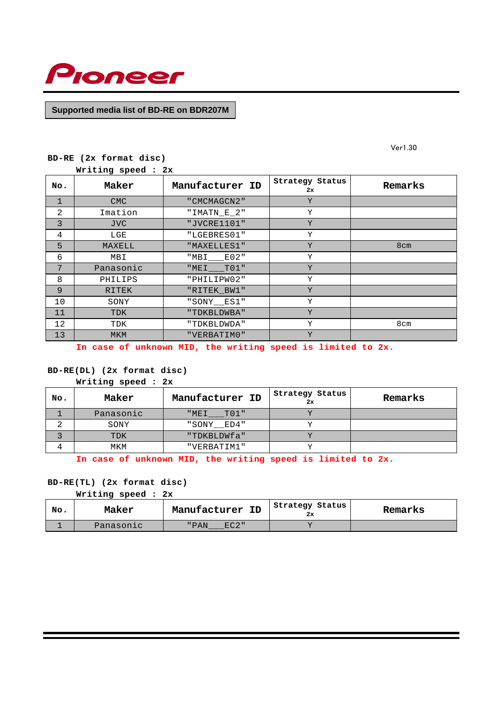

**Supported media list of BD-RE on BDR207M**

**BD-RE (2x format disc)** 

| Maker      | Manufacturer ID | Strategy Status<br>2x | Remarks |
|------------|-----------------|-----------------------|---------|
| <b>CMC</b> | " CMCMAGCN2"    | Y                     |         |
| Imation    | " $IMATN_E_2$ " | Υ                     |         |
| <b>JVC</b> | "JVCRE1101"     | Y                     |         |
| LGE        | "LGEBRES01"     | Υ                     |         |
| MAXELL     | "MAXELLES1"     | Υ                     | 8cm     |
| MBI        | E02"<br>"MBI    | Υ                     |         |
| Panasonic  | $"MEI$ $T01"$   | Y                     |         |
| PHILIPS    | "PHILIPW02"     | Υ                     |         |
| RITEK      | "RITEK_BW1"     | Y                     |         |
| SONY       | "SONY__ES1"     | Υ                     |         |
| <b>TDK</b> | "TDKBLDWBA"     | Y                     |         |
| TDK        | "TDKBLDWDA"     | Υ                     | 8cm     |
| <b>MKM</b> | "VERBATIMO"     | Y                     |         |
|            |                 | Writing speed : 2x    |         |

**In case of unknown MID, the writing speed is limited to 2x.**

# **BD-RE(DL) (2x format disc)**

|     | Writing speed : 2x |                 |                       |         |
|-----|--------------------|-----------------|-----------------------|---------|
| No. | Maker              | Manufacturer ID | Strategy Status<br>2x | Remarks |
|     | Panasonic          | "MEI TO1"       |                       |         |
| ⌒   | SONY               | "SONY ED4"      | ᅐᅎ                    |         |
|     | <b>TDK</b>         | "TDKBLDWfa"     |                       |         |
|     | MKM                | "VERBATIM1"     | v                     |         |

**In case of unknown MID, the writing speed is limited to 2x.**

# **BD-RE(TL) (2x format disc)**

**Writing speed : 2x**

| No. | Maker     | ΙD<br>Manufacturer | Strategy Status<br>2x | Remarks |
|-----|-----------|--------------------|-----------------------|---------|
|     | Panasonic | $EC2$ "<br>"PAN    |                       |         |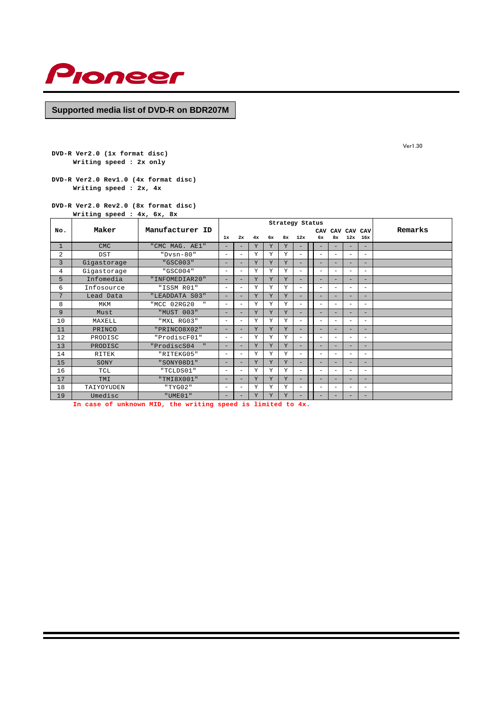

# **Supported media list of DVD-R on BDR207M**

Ver1.30

**DVD-R Ver2.0 (1x format disc) Writing speed : 2x only**

## **DVD-R Ver2.0 Rev2.0 (8x format disc)**

**Writing speed : 4x, 6x, 8x**

|                |               |                             | Strategy Status          |                          |    |    |    |                          |                          |                          |                          |                          |         |
|----------------|---------------|-----------------------------|--------------------------|--------------------------|----|----|----|--------------------------|--------------------------|--------------------------|--------------------------|--------------------------|---------|
| No.            | Maker         | Manufacturer ID             |                          |                          |    |    |    |                          | CAV                      | CAV                      | CAV CAV                  |                          | Remarks |
|                |               |                             | 1x                       | 2x                       | 4x | 6x | 8x | 12x                      | 6x                       | 8x                       | 12x                      | 16x                      |         |
| $\mathbf{1}$   | <b>CMC</b>    | "CMC MAG. AE1"              |                          | $\overline{\phantom{0}}$ | Y  | Y  | Y  | -                        | -                        | -                        |                          | -                        |         |
| $\overline{a}$ | <b>DST</b>    | $"Dvsn-80"$                 | $\overline{\phantom{0}}$ | $\overline{\phantom{0}}$ | Y  | Y  | Y  | $\overline{\phantom{m}}$ | $\overline{\phantom{0}}$ | $\overline{\phantom{0}}$ | $\overline{\phantom{0}}$ | $\overline{\phantom{m}}$ |         |
| 3              | Gigastorage   | "GSC003"                    | -                        | -                        | Y  | Y  | Y  | -                        | $\overline{\phantom{0}}$ | -                        | -                        | $\overline{\phantom{0}}$ |         |
| 4              | Gigastorage   | "GSC004"                    | $\overline{\phantom{0}}$ | $\overline{\phantom{0}}$ | Y  | Y  | Y  | $\qquad \qquad -$        | $\overline{\phantom{0}}$ | $\overline{\phantom{0}}$ | $\overline{\phantom{0}}$ | $\overline{\phantom{m}}$ |         |
| 5              | Infomedia     | "INFOMEDIAR20"              | -                        | -                        | Y  | Y  | Y  | -                        | $\overline{\phantom{0}}$ | -                        | -                        | $\overline{\phantom{0}}$ |         |
| 6              | Infosource    | "ISSM R01"                  | $\overline{\phantom{0}}$ | $\qquad \qquad -$        | Y  | Y  | Y  | $\qquad \qquad -$        | $\qquad \qquad -$        | $\overline{\phantom{0}}$ | $\qquad \qquad -$        | $\qquad \qquad -$        |         |
| 7              | Lead Data     | "LEADDATA S03"              | -                        | -                        | Y  | Y  | Y  | -                        | Ξ.                       | -                        | -                        | $\overline{\phantom{0}}$ |         |
| 8              | <b>MKM</b>    | "MCC 02RG20<br>$\mathbf{u}$ | $\overline{\phantom{0}}$ | $\overline{\phantom{m}}$ | Y  | Y  | Y  | $\qquad \qquad -$        | $\overline{\phantom{0}}$ | $\overline{\phantom{0}}$ | $\overline{\phantom{0}}$ | $\overline{\phantom{m}}$ |         |
| 9              | Must          | "MUST 003"                  | -                        | -                        | Y  | Y  | Y  | -                        | $\overline{\phantom{0}}$ | -                        | -                        | -                        |         |
| 10             | <b>MAXELL</b> | "MXL RG03"                  | $\overline{\phantom{0}}$ | $\overline{\phantom{0}}$ | Y  | Y  | Y  | $\overline{\phantom{m}}$ | $\overline{\phantom{0}}$ | $\overline{\phantom{0}}$ | $\overline{\phantom{0}}$ | $\overline{\phantom{m}}$ |         |
| 11             | PRINCO        | "PRINCO8X02"                | -                        | -                        | Y  | Y  | Y  | -                        | $\overline{\phantom{0}}$ | -                        | -                        | -                        |         |
| 12             | PRODISC       | "ProdiscF01"                | $\overline{\phantom{0}}$ | $\overline{\phantom{0}}$ | Y  | Y  | Y  | $\overline{\phantom{m}}$ | $\overline{\phantom{0}}$ | $\overline{\phantom{0}}$ | $\overline{\phantom{0}}$ | $\overline{\phantom{m}}$ |         |
| 13             | PRODISC       | "ProdiscS04<br>$\mathbf{H}$ | -                        | -                        | Y  | Y  | Y  | $\overline{\phantom{0}}$ | $\overline{\phantom{0}}$ | $\overline{\phantom{0}}$ | -                        | -                        |         |
| 14             | <b>RITEK</b>  | "RITEKG05"                  | $\equiv$                 | $\overline{\phantom{m}}$ | Y  | Y  | Y  | $\overline{\phantom{m}}$ | $\overline{\phantom{0}}$ | $\equiv$                 | $\overline{\phantom{a}}$ | $\qquad \qquad -$        |         |
| 15             | SONY          | "SONY08D1"                  | -                        | -                        | Y  | Y  | Y  | -                        | -                        | $\overline{\phantom{0}}$ | -                        | $\overline{\phantom{0}}$ |         |
| 16             | TCL           | "TCLDS01"                   | $\overline{\phantom{0}}$ | $\overline{\phantom{0}}$ | Y  | Y  | Y  | $\overline{\phantom{m}}$ | $\overline{\phantom{0}}$ | $\overline{\phantom{a}}$ | $\overline{\phantom{0}}$ | $\overline{\phantom{m}}$ |         |
| 17             | TMI           | "TMI8X001"                  | -                        | $\overline{\phantom{0}}$ | Y  | Y  | Y  | $\overline{\phantom{0}}$ | -                        | $\overline{\phantom{0}}$ | -                        | -                        |         |
| 18             | TAIYOYUDEN    | "TYG02"                     | $\equiv$                 | $\overline{\phantom{m}}$ | Y  | Y  | Y  | $\overline{\phantom{m}}$ | $\overline{\phantom{0}}$ | $\overline{\phantom{a}}$ | $\overline{\phantom{a}}$ | $\qquad \qquad -$        |         |
| 19             | Umedisc       | "UME01"                     | -                        |                          | Y  | Y  | Y  |                          | -                        |                          |                          |                          |         |

**DVD-R Ver2.0 Rev1.0 (4x format disc) Writing speed : 2x, 4x**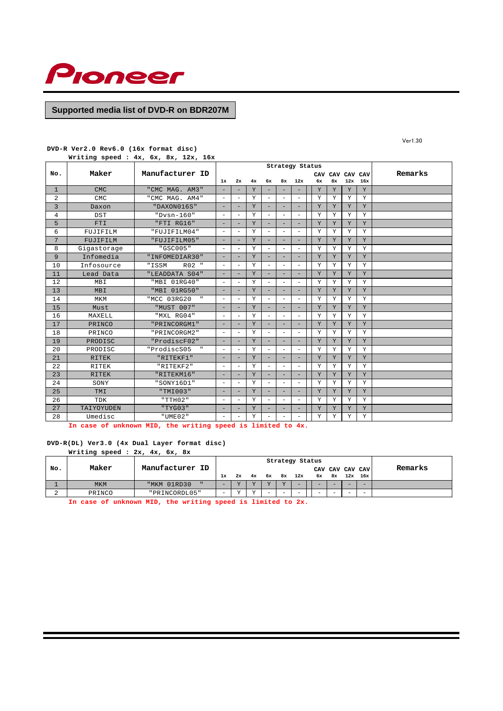

# **Supported media list of DVD-R on BDR207M**

**DVD-R Ver2.0 Rev6.0 (16x format disc)**

**Writing speed : 4x, 6x, 8x, 12x, 16x**

|                |                          |                 | Strategy Status          |                          |    |                          |                                               |                          |    |     |           |             |                |         |
|----------------|--------------------------|-----------------|--------------------------|--------------------------|----|--------------------------|-----------------------------------------------|--------------------------|----|-----|-----------|-------------|----------------|---------|
| No.            | Maker                    | Manufacturer ID | 1x                       | 2x                       | 4x | 6x                       | 8x                                            | 12x                      | 6x | CAV | CAV<br>8x | 12x         | CAV CAV<br>16x | Remarks |
| $\mathbf{1}$   | CMC.                     | "CMC MAG. AM3"  | $\qquad \qquad -$        |                          | Y  |                          |                                               |                          | Y  |     | Y         | Y           | Y              |         |
| $\overline{a}$ | <b>CMC</b>               | "CMC MAG. AM4"  | $\overline{\phantom{a}}$ | $\overline{a}$           | Υ  | $\overline{\phantom{a}}$ | $\overline{\phantom{a}}$                      | $\overline{\phantom{m}}$ | Υ  |     | Y         | Y           | Y              |         |
| 3              | Daxon                    | "DAXON016S"     | -                        |                          | Y  |                          |                                               |                          | Y  |     | Y         | Y           | Y              |         |
| 4              | <b>DST</b>               | $"Dvsn-160"$    | $\overline{\phantom{a}}$ | ۰                        | Y  | $\overline{\phantom{a}}$ | $\overline{\phantom{a}}$                      | $\sim$                   | Y  |     | Y         | Y           | Y              |         |
| 5              | FTI                      | "FTI RG16"      | -                        |                          | Y  | $\overline{\phantom{0}}$ | -                                             |                          | Y  |     | Y         | Y           | Y              |         |
| 6              | FUJIFILM                 | "FUJIFILM04"    | $\overline{\phantom{a}}$ | $\overline{\phantom{a}}$ | Υ  | $\overline{\phantom{a}}$ | $\overline{\phantom{a}}$                      | $\overline{\phantom{0}}$ | Υ  |     | Y         | Y           | Y              |         |
| 7              | FUJIFILM                 | "FUJIFILM05"    | $\qquad \qquad -$        |                          | Y  | -                        | $\overline{\phantom{0}}$                      |                          | Y  |     | Y         | Y           | Y              |         |
| 8              |                          | "GSC005"        | $\overline{\phantom{a}}$ | ۰                        | Υ  | $\overline{\phantom{a}}$ | $\overline{\phantom{a}}$                      | $\overline{\phantom{m}}$ | Y  |     | Y         | Y           | Y              |         |
| 9              | Gigastorage<br>Infomedia | "INFOMEDIAR30"  | ÷                        |                          | Y  | $\overline{\phantom{a}}$ | ÷                                             | $\qquad \qquad -$        | Y  |     | Y         | Y           | Y              |         |
| 10             | Infosource               | R02 "<br>"ISSM  | $\sim$                   | ۰                        | Y  | $\overline{\phantom{a}}$ | $\overline{\phantom{a}}$                      | ۰                        | Υ  |     | Y         | Y           | Y              |         |
| 11             | Lead Data                | "LEADDATA S04"  | $\equiv$                 | ۰                        | Y  | $\equiv$                 | $\equiv$                                      | -                        | Y  |     | Y         | Y           | Y              |         |
| 12             | MBI                      | "MBI 01RG40"    | $\overline{\phantom{a}}$ | $\overline{\phantom{0}}$ | Υ  | $\overline{\phantom{a}}$ | $\overline{\phantom{0}}$                      | $\overline{\phantom{m}}$ | Y  |     | Y         | Y           | Y              |         |
| 13             |                          | "MBI 01RG50"    | $\qquad \qquad -$        |                          | Y  | $\overline{\phantom{a}}$ | $\qquad \qquad -$                             | -                        | Y  |     | Y         | Y           | Y              |         |
| 14             | <b>MBI</b>               | $\mathbf{H}$    | $\overline{\phantom{0}}$ | $\overline{\phantom{0}}$ | Υ  | $\overline{\phantom{a}}$ | $\overline{\phantom{a}}$                      |                          | Y  |     | Y         | Y           | Y              |         |
|                | MKM                      | "MCC 03RG20     |                          |                          |    |                          |                                               | $\overline{\phantom{a}}$ |    |     |           |             |                |         |
| 15             | Must                     | "MUST 007"      | $\qquad \qquad -$        |                          | Y  | -                        | $\qquad \qquad -$<br>$\overline{\phantom{a}}$ |                          | Y  |     | Y         | $\mathbf Y$ | Y              |         |
| 16             | MAXELL                   | "MXL RG04"      | $\overline{\phantom{a}}$ | ۰                        | Υ  | $\overline{\phantom{a}}$ |                                               | $\overline{\phantom{a}}$ | Υ  |     | Y         | Y           | Y              |         |
| 17             | PRINCO                   | "PRINCORGM1"    | $\overline{\phantom{0}}$ |                          | Y  |                          |                                               |                          | Y  |     | Y         | Y           | Y              |         |
| 18             | PRINCO                   | "PRINCORGM2"    | $\sim$                   | ۰                        | Υ  | $\overline{\phantom{a}}$ | $\equiv$                                      | $\overline{\phantom{0}}$ | Y  |     | Y         | Y           | Y              |         |
| 19             | PRODISC                  | "ProdiscF02"    | $\qquad \qquad -$        |                          | Y  | -                        |                                               |                          | Y  |     | Y         | Y           | Y              |         |
| 20             | PRODISC                  | "ProdiscS05     | $\overline{\phantom{a}}$ | $\overline{\phantom{m}}$ | Υ  | $\overline{\phantom{a}}$ | $\overline{\phantom{a}}$                      | $\overline{\phantom{m}}$ | Υ  |     | Y         | Y           | Y              |         |
| 21             | <b>RITEK</b>             | "RITEKF1"       | $\overline{\phantom{a}}$ |                          | Y  | $\overline{\phantom{a}}$ | -                                             | ۰                        | Y  |     | Y         | Y           | Y              |         |
| 22             | <b>RITEK</b>             | "RITEKF2"       | $\overline{\phantom{m}}$ |                          | Υ  | $\overline{\phantom{a}}$ | $\overline{\phantom{m}}$                      | $\overline{a}$           | Y  |     | Y         | Y           | Y              |         |
| 23             | <b>RITEK</b>             | "RITEKM16"      | $\overline{\phantom{a}}$ |                          | Y  | $\overline{\phantom{a}}$ | $\equiv$                                      | $\overline{\phantom{0}}$ | Y  |     | Y         | Y           | Y              |         |
| 24             | SONY                     | "SONY16D1"      | $\overline{\phantom{0}}$ | $\overline{\phantom{a}}$ | Υ  | $\overline{\phantom{a}}$ | $\overline{\phantom{0}}$                      | $\overline{\phantom{0}}$ | Υ  |     | Y         | Y           | Y              |         |
| 25             | TMI                      | "TMI003"        | $\overline{\phantom{a}}$ | ۰                        | Y  | $\qquad \qquad -$        | -                                             | $\qquad \qquad -$        | Y  |     | Y         | Y           | Y              |         |
| 26             | TDK                      | "TTH02"         | $\overline{\phantom{m}}$ | $\overline{\phantom{m}}$ | Υ  | $\overline{\phantom{a}}$ | $\overline{\phantom{m}}$                      | $\overline{\phantom{a}}$ | Υ  |     | Y         | Y           | Y              |         |
| 27             | TAIYOYUDEN               | "TYG03"         | $\qquad \qquad -$        |                          | Υ  | -                        | -                                             |                          | Υ  |     | Y         | Y           | Y              |         |
| 28             | Umedisc                  | "UME02"         | $\overline{\phantom{m}}$ |                          | Υ  |                          | -                                             |                          | Y  |     | Y         | Υ           | Y              |         |

**In case of unknown MID, the writing speed is limited to 4x.**

#### **DVD-R(DL) Ver3.0 (4x Dual Layer format disc)**

**Writing speed : 2x, 4x, 6x, 8x**

|     |            |                             |                          |    |        |                          |        | Strategy Status          |     |        |                          |                          |         |
|-----|------------|-----------------------------|--------------------------|----|--------|--------------------------|--------|--------------------------|-----|--------|--------------------------|--------------------------|---------|
| No. | Maker      | Manufacturer ID             |                          |    |        |                          |        |                          | CAV |        | CAV CAV CAV              |                          | Remarks |
|     |            |                             | 1x                       | 2x | 4x     | 6x                       | 8x     | 12x                      | 6x  | 8x     |                          | $12x$ 16x                |         |
|     | <b>MKM</b> | "MKM 01RD30<br>$\mathbf{u}$ | $\overline{\phantom{a}}$ |    |        | <b>T</b> F               | T      | $\overline{\phantom{a}}$ | -   |        | $\overline{\phantom{a}}$ | $\overline{\phantom{a}}$ |         |
|     | PRINCO     | "PRINCORDL05"               | $\sim$                   |    | $\tau$ | $\overline{\phantom{a}}$ | $\sim$ | $\sim$                   | -   | $\sim$ | $\sim$                   | $\sim$                   |         |

**In case of unknown MID, the writing speed is limited to 2x.**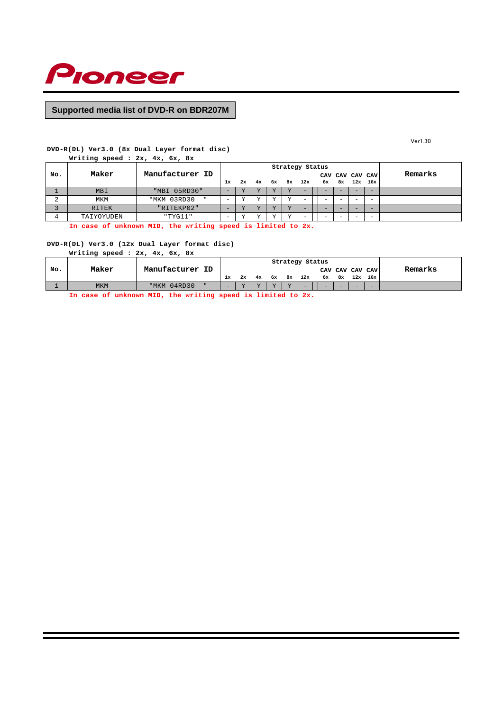

# **Supported media list of DVD-R on BDR207M**

Ver1.30

## **DVD-R(DL) Ver3.0 (8x Dual Layer format disc)**

**Writing speed : 2x, 4x, 6x, 8x**

|     |              |                 | Strategy Status |    |    |    |           |                          |  |                          |                          |     |                 |         |
|-----|--------------|-----------------|-----------------|----|----|----|-----------|--------------------------|--|--------------------------|--------------------------|-----|-----------------|---------|
| No. | Maker        | Manufacturer ID |                 |    |    |    |           |                          |  |                          |                          |     | CAV CAV CAV CAV | Remarks |
|     |              |                 | 1x              | 2x | 4x | 6x |           | $8x$ 12x                 |  | 6x                       | 8x                       | 12x | 16x             |         |
|     | <b>MBI</b>   | "MBI 05RD30"    | -               |    |    |    |           | $\overline{\phantom{a}}$ |  | $\overline{\phantom{a}}$ |                          |     | -               |         |
| ▵   | MKM          | "MKM 03RD30     | -               |    |    |    | <b>TT</b> | $\overline{\phantom{a}}$ |  | $\overline{\phantom{a}}$ | $\overline{\phantom{a}}$ | -   | $\sim$          |         |
|     | <b>RITEK</b> | "RITEKP02"      | -               |    |    |    | <b>TT</b> |                          |  |                          |                          |     |                 |         |
|     | TAIYOYUDEN   | "TYG11"         | -               |    |    |    |           |                          |  | $\overline{\phantom{a}}$ | $\overline{\phantom{a}}$ |     |                 |         |

**In case of unknown MID, the writing speed is limited to 2x.**

### **DVD-R(DL) Ver3.0 (12x Dual Layer format disc)**

**Writing speed : 2x, 4x, 6x, 8x**

|     |            |                                 |                          |    |    |    |        | Strategy Status          |                   |     |     |                 |         |
|-----|------------|---------------------------------|--------------------------|----|----|----|--------|--------------------------|-------------------|-----|-----|-----------------|---------|
| No. | Maker      | Manufacturer<br>ID              |                          |    |    |    |        |                          |                   |     |     | CAV CAV CAV CAV | Remarks |
|     |            |                                 | 1x                       | 2x | 4x | 6x | 8x     | 12x                      | 6x                | 8x  | 12x | 16x             |         |
|     | <b>MKM</b> | 04RD30<br>" MKM<br>$\mathbf{u}$ | $\overline{\phantom{a}}$ |    |    |    | $\tau$ | $\overline{\phantom{a}}$ | <b>The County</b> | $-$ | $-$ | -               |         |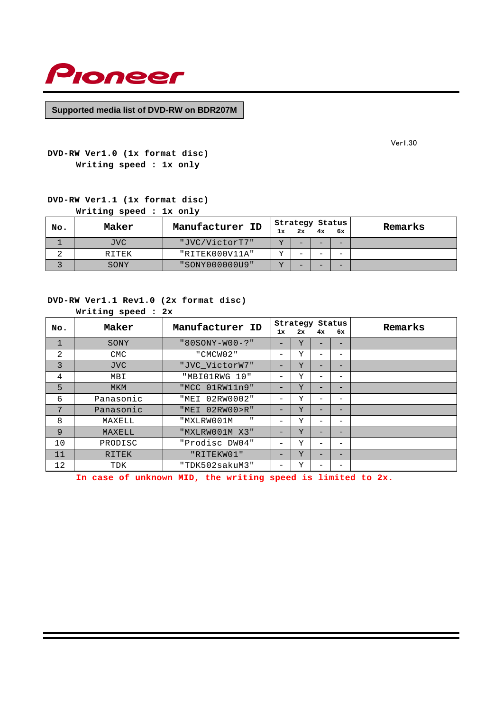

**Supported media list of DVD-RW on BDR207M**

Ver1.30

**DVD-RW Ver1.0 (1x format disc) Writing speed : 1x only**

## **DVD-RW Ver1.1 (1x format disc)**

**Writing speed : 1x only**

| No. | Maker      | Manufacturer ID | 1x | Strategy Status<br>2x | 4x | 6х | Remarks |
|-----|------------|-----------------|----|-----------------------|----|----|---------|
|     | <b>JVC</b> | "JVC/VictorT7"  | T  | -                     |    |    |         |
|     | RITEK      | "RITEK000V11A"  | T  |                       |    |    |         |
|     | SONY       | "SONY000000U9"  |    | -                     |    |    |         |

## **DVD-RW Ver1.1 Rev1.0 (2x format disc)**

|              | Writing speed : 2x |                           |                          |                       |                          |                              |         |
|--------------|--------------------|---------------------------|--------------------------|-----------------------|--------------------------|------------------------------|---------|
| No.          | Maker              | Manufacturer ID           | 1x                       | Strategy Status<br>2x | 4x                       | 6х                           | Remarks |
| $\mathbf{1}$ | SONY               | $" 80SONY-W00-?"$         |                          | Y                     |                          |                              |         |
| 2            | <b>CMC</b>         | "CMCW02"                  | -                        | Υ                     | —                        |                              |         |
| 3            | <b>JVC</b>         | "JVC_VictorW7"            | -                        | Y                     | -                        | $\overline{\phantom{0}}$     |         |
| 4            | MBI                | "MBI01RWG 10"             | -                        | Y                     | —                        |                              |         |
| 5            | <b>MKM</b>         | "MCC 01RW11n9"            | -                        | Y                     | $-$                      | $\overline{\phantom{0}}$     |         |
| 6            | Panasonic          | "MEI 02RW0002"            | -                        | Y                     | $-$                      | $\qquad \qquad \blacksquare$ |         |
| 7            | Panasonic          | "MEI 02RW00>R"            |                          | Y                     | -                        |                              |         |
| 8            | MAXELL             | "MXLRW001M<br>$\mathbf H$ | -                        | Υ                     | $\qquad \qquad -$        |                              |         |
| 9            | MAXELL             | "MXLRW001M X3"            | -                        | Y                     | -                        | $\overline{\phantom{m}}$     |         |
| 10           | PRODISC            | "Prodisc DW04"            | $\overline{\phantom{0}}$ | Υ                     | $\overline{\phantom{0}}$ | $\overline{\phantom{m}}$     |         |
| 11           | RITEK              | "RITEKW01"                | -                        | Y                     | $-$                      | $\overline{\phantom{0}}$     |         |
| 12           | TDK                | "TDK502sakuM3"            | -                        | Υ                     | —                        | $\qquad \qquad \blacksquare$ |         |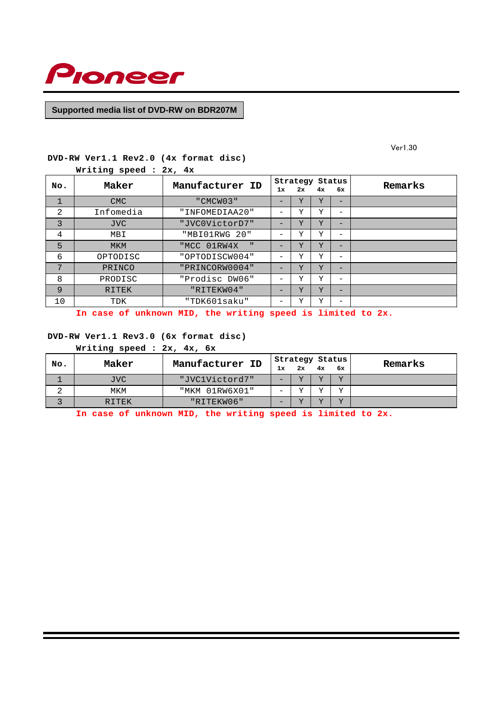

# **Supported media list of DVD-RW on BDR207M**

Ver1.30

## **DVD-RW Ver1.1 Rev2.0 (4x format disc)**

|              | Writing speed : 2x, 4x |                             |                          |    |                       |                          |         |
|--------------|------------------------|-----------------------------|--------------------------|----|-----------------------|--------------------------|---------|
| No.          | Maker                  | Manufacturer ID             | 1x                       | 2x | Strategy Status<br>4x | 6х                       | Remarks |
| $\mathbf{1}$ | <b>CMC</b>             | "CMCW03"                    |                          | Y  | Y                     |                          |         |
| 2            | Infomedia              | "INFOMEDIAA20"              |                          | Υ  | Υ                     | -                        |         |
| 3            | <b>JVC</b>             | "JVC0VictorD7"              |                          | Y  | Y                     | -                        |         |
| 4            | MBI                    | "MBI01RWG 20"               | $\overline{\phantom{0}}$ | Υ  | Υ                     | $\overline{\phantom{m}}$ |         |
| 5            | <b>MKM</b>             | "MCC 01RW4X<br>$\mathbf{H}$ |                          | Y  | Y                     | -                        |         |
| 6            | OPTODISC               | "OPTODISCW004"              |                          | Υ  | Υ                     | $\qquad \qquad \qquad$   |         |
| 7            | PRINCO                 | "PRINCORW0004"              | $\qquad \qquad -$        | Y  | Y                     | -                        |         |
| 8            | PRODISC                | "Prodisc DW06"              | $\overline{\phantom{0}}$ | Υ  | Y                     | $\overline{\phantom{0}}$ |         |
| 9            | RITEK                  | "RITEKW04"                  |                          | Y  | Y                     |                          |         |
| 10           | TDK                    | "TDK601saku"                |                          | Υ  | Υ                     |                          |         |

**In case of unknown MID, the writing speed is limited to 2x.**

## **DVD-RW Ver1.1 Rev3.0 (6x format disc)**

| Writing speed : 2x, 4x, 6x |  |
|----------------------------|--|
|----------------------------|--|

| No. | Maker      | Manufacturer ID | Strategy Status |        |           | Remarks |
|-----|------------|-----------------|-----------------|--------|-----------|---------|
|     |            |                 | $2x$ $4x$       |        | 6х        |         |
|     | <b>JVC</b> | "JVC1Victord7"  | $\tau$          | $\tau$ | <b>TT</b> |         |
|     | MKM        | "MKM 01RW6X01"  | 77              | 77     |           |         |
|     | RITEK      | "RITEKW06"      | 77              | $\tau$ | T         |         |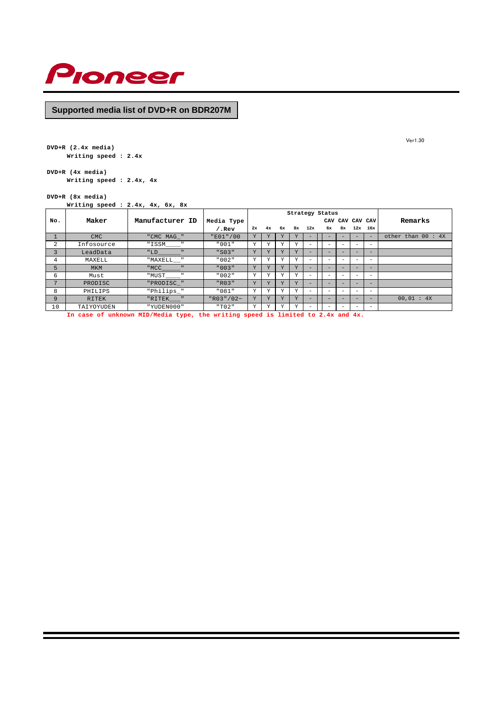

# **Supported media list of DVD+R on BDR207M**

**DVD+R (2.4x media) Writing speed : 2.4x**

#### **DVD+R (4x media)**

**Writing speed : 2.4x, 4x**

#### **DVD+R (8x media)**

**Writing speed : 2.4x, 4x, 6x, 8x**

|     |            |                            |             | Strategy Status |    |             |    |     |                          |    |                          |                          |                    |
|-----|------------|----------------------------|-------------|-----------------|----|-------------|----|-----|--------------------------|----|--------------------------|--------------------------|--------------------|
| No. | Maker      | Manufacturer ID            | Media Type  |                 |    |             |    |     |                          |    |                          | CAV CAV CAV CAV          | Remarks            |
|     |            |                            | $/$ . Rev   | 2x              | 4x | 6x          | 8x | 12x | 6х.                      | 8x |                          | $12x$ $16x$              |                    |
|     | <b>CMC</b> | "CMC MAG "                 | "E01" / 00  | Y               |    |             | Y  |     |                          |    |                          | $-$                      | other than $00:4X$ |
| 2   | Infosource | "ISSM____"                 | "001"       | Υ               | Υ  | $\mathbf v$ | Y  |     |                          |    |                          |                          |                    |
| 3   | LeadData   |                            | "S03"       | Y               | Y  | Y           | Y  |     | -                        |    | $-$                      | $-$                      |                    |
| 4   | MAXELL     | "MAXELL "                  | "002"       | Υ               | Υ  | Y           | Υ  |     | $\overline{\phantom{0}}$ | -  | $\overline{\phantom{0}}$ | -                        |                    |
| 5   | MKM        | $"MCC$ <sub>______</sub> " | "003"       | Y               |    |             | Y  |     | -                        |    |                          | $-$                      |                    |
| 6   | Must       | "MUST____"                 | "002"       | Υ               | Y  | Υ           | Y  |     | $\overline{\phantom{0}}$ |    |                          | -                        |                    |
| 7   | PRODISC    | "PRODISC "                 | "R03"       | Y               | Y  | Y           | Y  |     | ÷                        |    |                          | $-$                      |                    |
| 8   | PHILIPS    | "Philips "                 | "081"       | Y               | Y  | Y           | Y  |     | -                        |    |                          | -                        |                    |
| 9   | RITEK      | $"RITER$ $"$               | "R03" / 02~ | Y               | Y  | Y           | Y  |     | $=$                      |    |                          | $-$                      | 00.01 : 4X         |
| 10  | TAIYOYUDEN | "YUDEN000"                 | "T02"       | Y               | Υ  | Y           | v  |     |                          |    | $\overline{\phantom{0}}$ | $\overline{\phantom{0}}$ |                    |

**In case of unknown MID/Media type, the writing speed is limited to 2.4x and 4x.**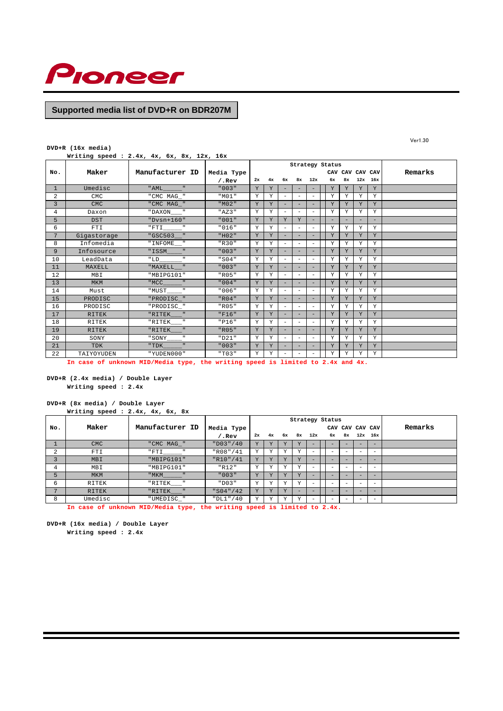

# **Supported media list of DVD+R on BDR207M**

#### **DVD+R (16x media)**

**Writing speed : 2.4x, 4x, 6x, 8x, 12x, 16x**

|              |              |                          |            | Strategy Status |    |                          |                          |                          |  |    |    |          |                 |         |
|--------------|--------------|--------------------------|------------|-----------------|----|--------------------------|--------------------------|--------------------------|--|----|----|----------|-----------------|---------|
| No.          | Maker        | Manufacturer ID          | Media Type |                 |    |                          |                          |                          |  |    |    |          | CAV CAV CAV CAV | Remarks |
|              |              |                          | $/$ . Rev  | 2x              | 4x | 6x                       | 8x                       | 12x                      |  | 6x | 8x | 12x      | 16x             |         |
| $\mathbf{1}$ | Umedisc      | $\mathbf{H}$<br>"AML     | "003"      | Y               | Y  | $\overline{\phantom{a}}$ | $\equiv$                 |                          |  | Y  | Υ  | Y        | Y               |         |
| 2            | <b>CMC</b>   | "CMC MAG_"               | "M01"      | Y               | Υ  | $\qquad \qquad =$        | $\overline{\phantom{a}}$ | $\qquad \qquad =$        |  | Y  | Y  | Υ        | Y               |         |
| 3            | <b>CMC</b>   | "CMC MAG_"               | "M02"      | Y               | Y  | $\overline{\phantom{a}}$ | $\equiv$                 | ÷                        |  | Y  | Y  | Y        | Y               |         |
| 4            | Daxon        | "DAXON                   | "AZ3"      | Y               | Υ  | $\qquad \qquad =$        | $\overline{\phantom{a}}$ | -                        |  | Υ  | Y  | Υ        | Y               |         |
| 5            | <b>DST</b>   | $"Dvsn+160"$             | "001"      | Y               | Y  | Y                        | Y                        | ÷.                       |  | ÷  | ÷  | $\equiv$ | $\equiv$        |         |
| 6            | FTI          | "FTI<br>п.               | "016"      | Y               | Υ  | $\qquad \qquad =$        | $\overline{\phantom{a}}$ | Ξ.                       |  | Υ  | Y  | Υ        | Y               |         |
| 7            | Gigastorage  | "GSC503_<br>$\mathbf{H}$ | "H02"      | Y               | Y  | $\overline{\phantom{a}}$ | $\equiv$                 | Ξ.                       |  | Y  | Y  | Y        | Y               |         |
| 8            | Infomedia    | "INFOME_                 | "R30"      | Y               | Υ  | $\qquad \qquad -$        | $\overline{\phantom{0}}$ | -                        |  | Υ  | Y  | Υ        | Y               |         |
| 9            | Infosource   | "ISSM                    | "003"      | Y               | Y  |                          | Ξ.                       |                          |  | Y  | Y  | Y        | Y               |         |
| 10           | LeadData     | $\mathbf{H}$<br>"LD      | "S04"      | Y               | Υ  | $\sim$                   | $\overline{\phantom{a}}$ | -                        |  | Υ  | Y  | Υ        | Y               |         |
| 11           | MAXELL       | "MAXELL                  | "003"      | Y               | Y  |                          | -                        |                          |  | Y  | Y  | Y        | Y               |         |
| 12           | MBI          | "MBIPG101"               | "R05"      | Y               | Υ  |                          | $\overline{\phantom{0}}$ | $\overline{\phantom{0}}$ |  | Υ  | Y  | Υ        | Y               |         |
| 13           | <b>MKM</b>   | "MCC<br>$\mathbf{H}$     | "004"      | Y               | Y  |                          | -                        |                          |  | Y  | Y  | Y        | Y               |         |
| 14           | Must         | $\mathbf{H}$<br>"MUST    | "006"      | Y               | Υ  |                          | $\overline{\phantom{a}}$ | -                        |  | Υ  | Y  | Υ        | Y               |         |
| 15           | PRODISC      | "PRODISC_"               | "R04"      | Y               | Y  |                          | ÷,                       | -                        |  | Y  | Y  | Y        | Y               |         |
| 16           | PRODISC      | "PRODISC "               | "R05"      | Y               | Υ  | $\qquad \qquad -$        | $\equiv$                 | -                        |  | Υ  | Y  | Υ        | Y               |         |
| 17           | <b>RITEK</b> | "RITEK                   | "F16"      | Y               | Y  | $\overline{\phantom{0}}$ | $\equiv$                 | -                        |  | Y  | Y  | Y        | Y               |         |
| 18           | <b>RITEK</b> | "RITEK<br>$\mathbf{H}$   | "P16"      | Y               | Υ  | $\qquad \qquad -$        | $\overline{\phantom{a}}$ | $\overline{\phantom{a}}$ |  | Υ  | Y  | Υ        | Y               |         |
| 19           | <b>RITEK</b> | "RITEK                   | "R05"      | Y               | Y  | $\overline{\phantom{a}}$ | $\equiv$                 | -                        |  | Y  | Y  | Y        | Y               |         |
| 20           | SONY         | $\mathbf{H}$<br>" SONY   | "D21"      | Y               | Y  | $\qquad \qquad -$        | $\overline{\phantom{a}}$ | $\overline{\phantom{a}}$ |  | Υ  | Y  | Y        | Y               |         |
| 21           | <b>TDK</b>   | $\mathbf{H}$<br>"TDK     | "003"      | Y               | Y  | $\overline{\phantom{a}}$ | $\overline{\phantom{a}}$ | -                        |  | Y  | Y  | Y        | Y               |         |
| 22           | TAIYOYUDEN   | "YUDEN000"               | "T03"      | Y               | Y  | $\overline{\phantom{a}}$ | $\overline{\phantom{0}}$ |                          |  | Υ  | Y  | Υ        | Y               |         |

**In case of unknown MID/Media type, the writing speed is limited to 2.4x and 4x.**

#### **DVD+R (2.4x media) / Double Layer Writing speed : 2.4x**

**DVD+R (8x media) / Double Layer Writing speed : 2.4x, 4x, 6x, 8x**

|                |            |                        |                 | Strategy Status |    |           |     |             |                          |                 |                          |                          |         |
|----------------|------------|------------------------|-----------------|-----------------|----|-----------|-----|-------------|--------------------------|-----------------|--------------------------|--------------------------|---------|
| No.            | Maker      | Manufacturer ID        | Media Type      |                 |    |           |     |             |                          | CAV CAV CAV CAV |                          |                          | Remarks |
|                |            |                        | $/$ .Rev        | 2x              | 4x | 6x        |     | $8x$ 12 $x$ | 6x                       |                 | 8x 12x 16x               |                          |         |
|                | <b>CMC</b> | "CMC MAG "             | "D03" / 40      | Y               |    |           |     |             |                          |                 |                          |                          |         |
| 2              | FTI        | "FTI<br>$\mathbf{H}$   | "R08" / 41      | Y               | Υ  |           | Υ   |             |                          |                 |                          |                          |         |
| 3              | MBI        | "MBIPG101"             | "R10" /41       | Y               | Y  | Y         | Y   |             |                          |                 |                          | $-$                      |         |
| 4              | MBI        | "MBIPG101"             | "R12"           | Y               | Y  | <b>TT</b> | Υ   |             |                          |                 |                          |                          |         |
| 5              | MKM        |                        | "003"           | Y               | Y  | Y         | Y   |             |                          |                 |                          | $-$                      |         |
| 6              | RITEK      | "RITEK<br>$\mathbf{H}$ | $"$ DO3"        | Y               | Υ  | Y         | Y   |             |                          |                 |                          | -                        |         |
| $\overline{ }$ | RITEK      | $"RITER$ $"$           | "S04" / 42      | Y               | Y  | Y         | $-$ | -           | $\overline{\phantom{0}}$ |                 | $\overline{\phantom{0}}$ | -                        |         |
| 8              | Umedisc    | "UMEDISC "             | $"$ DL $1"$ /40 | Y               | Y  | <b>TT</b> | Y   | -           | ۰                        |                 |                          | $\overline{\phantom{0}}$ |         |

**In case of unknown MID/Media type, the writing speed is limited to 2.4x.**

**DVD+R (16x media) / Double Layer Writing speed : 2.4x**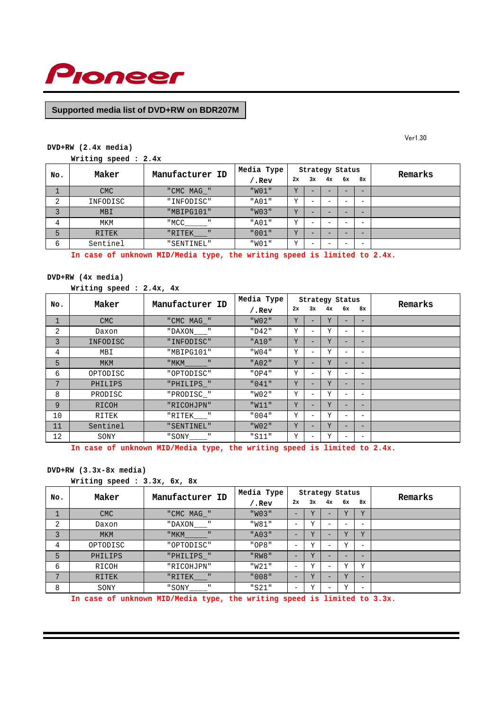

# **Supported media list of DVD+RW on BDR207M**

Ver1.30

## **DVD+RW (2.4x media)**

**Writing speed : 2.4x**

| Maker<br>No. |            | Manufacturer ID        | Media Type |                |                          |    | Strategy Status          |                          | Remarks |
|--------------|------------|------------------------|------------|----------------|--------------------------|----|--------------------------|--------------------------|---------|
|              |            | .Rev                   |            | 2x             | 3x                       | 4x | 6х                       | 8x                       |         |
|              | <b>CMC</b> | "CMC MAG "             | "W01"      | $\overline{V}$ | -                        |    | -                        | -                        |         |
| ◠            | INFODISC   | "INFODISC"             | "A01"      | v              | -                        |    | -                        | -                        |         |
| 3            | <b>MBI</b> | "MBIPG101"             | "W03"      | $\overline{V}$ | $\overline{\phantom{0}}$ |    | $\overline{\phantom{0}}$ | $\overline{\phantom{0}}$ |         |
| 4            | MKM        | $\mathbf{u}$<br>" MCC  | "A01"      | $\tau$         | $\overline{\phantom{0}}$ | -  | -                        | $\overline{\phantom{0}}$ |         |
| 5            | RITEK      | $\mathbf{u}$<br>"RITEK | "001"      | $\overline{V}$ | $\overline{\phantom{0}}$ |    | -                        | $\overline{\phantom{0}}$ |         |
| 6            | Sentinel   | "SENTINEL"             | "W01"      | Y              | -                        |    | -                        | -                        |         |

**In case of unknown MID/Media type, the writing speed is limited to 2.4x.**

## **DVD+RW (4x media)**

**Writing speed : 2.4x, 4x**

| No. | Maker      | Manufacturer ID | Media Type<br>$/$ .Rev | 2x | Strategy Status<br>3x    | 4x | 6х                       | 8x                           | Remarks |
|-----|------------|-----------------|------------------------|----|--------------------------|----|--------------------------|------------------------------|---------|
| 1   | <b>CMC</b> | "CMC MAG_"      | "W02"                  | Y  |                          | Y  | -                        | $\qquad \qquad -$            |         |
| 2   | Daxon      | "DAXON "        | "D42"                  | Υ  | $\overline{\phantom{0}}$ | Y  | $\qquad \qquad =$        | $\overline{\phantom{0}}$     |         |
| 3   | INFODISC   | "INFODISC"      | "A10"                  | Y  | -                        | Y  | $\overline{\phantom{0}}$ | $\qquad \qquad \blacksquare$ |         |
| 4   | MBI        | "MBIPG101"      | "W04"                  | Υ  | -                        | Υ  | -                        | $\qquad \qquad -$            |         |
| 5   | <b>MKM</b> | "MKM "          | "A02"                  | Y  | -                        | Y  | -                        | $\qquad \qquad -$            |         |
| 6   | OPTODISC   | "OPTODISC"      | "OP4"                  | Υ  | -                        | Y  | -                        | $\overline{\phantom{0}}$     |         |
| 7   | PHILIPS    | "PHILIPS_"      | "041"                  | Y  |                          | Y  | -                        | $\qquad \qquad -$            |         |
| 8   | PRODISC    | "PRODISC_"      | "WO2"                  | Υ  | -                        | Y  | $\qquad \qquad =$        | $\overline{\phantom{0}}$     |         |
| 9   | RICOH      | "RICOHJPN"      | "W11"                  | Y  | -                        | Y  | $\overline{\phantom{0}}$ | $\overline{\phantom{0}}$     |         |
| 10  | RITEK      | "RITEK "        | "004"                  | Υ  | -                        | Y  | $\qquad \qquad =$        | $\overline{\phantom{m}}$     |         |
| 11  | Sentinel   | "SENTINEL"      | "W02"                  | Y  |                          | Y  | -                        | $-$                          |         |
| 12  | SONY       | "SONY "         | "S11"                  | Y  |                          | Y  |                          |                              |         |

**In case of unknown MID/Media type, the writing speed is limited to 2.4x.**

# **DVD+RW (3.3x-8x media)**

**Writing speed : 3.3x, 6x, 8x**

| No. | Maker      | Manufacturer ID                      | Media Type |    |    | Strategy Status |    |                          | Remarks |
|-----|------------|--------------------------------------|------------|----|----|-----------------|----|--------------------------|---------|
|     |            |                                      | $/$ . Rev  | 2x | 3x | 4x              | 6x | 8x                       |         |
|     | <b>CMC</b> | "CMC MAG "                           | "W03"      |    |    |                 |    | $\overline{V}$           |         |
| 2   | Daxon      | " $DAXON$ ____"                      | "W81"      | -  | Υ  |                 | -  | -                        |         |
| 3   | <b>MKM</b> | $"$ MKM $_{\_}$                      | "A03"      |    | Y  |                 | Y  | Y                        |         |
| 4   | OPTODISC   | "OPTODISC"                           | "OP8"      |    | Υ  |                 | Υ  | -                        |         |
| 5   | PHILIPS    | "PHILIPS "                           | "RW8"      |    | Y  |                 |    | $\overline{\phantom{0}}$ |         |
| 6   | RICOH      | "RICOHJPN"                           | "W21"      | -  | Y  | -               | Y  | Y                        |         |
| 7   | RITEK      | $\mathcal{L}^{\text{max}}$<br>"RITEK | "008"      |    | Y  |                 | Y  | $\overline{\phantom{0}}$ |         |
| 8   | SONY       | ш<br>" SONY                          | "S21"      | -  | Υ  |                 | Υ  | -                        |         |

**In case of unknown MID/Media type, the writing speed is limited to 3.3x.**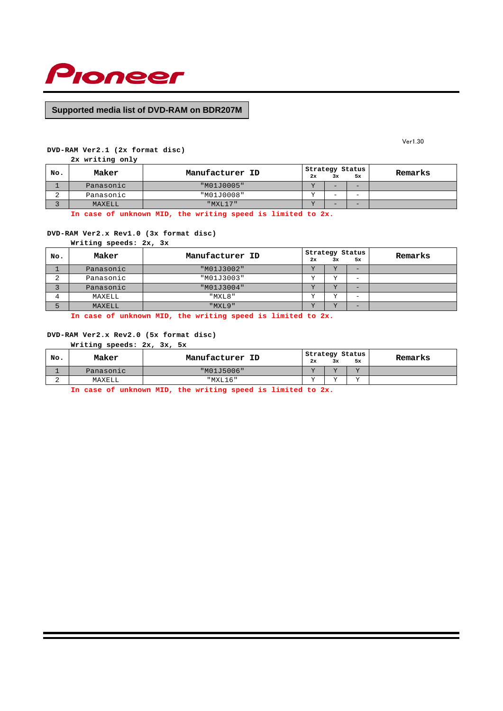

## **Supported media list of DVD-RAM on BDR207M**

Ver1.30

#### **DVD-RAM Ver2.1 (2x format disc)**

**2x writing only**

| No. | Maker     | Manufacturer ID | 2x | Strategy Status<br>3x | 5x  | Remarks |
|-----|-----------|-----------------|----|-----------------------|-----|---------|
|     | Panasonic | "M01J0005"      |    | $-$                   |     |         |
|     | Panasonic | "M01J0008"      |    | -                     | -   |         |
|     | MAXELL    | $"$ MXT.17"     |    | $-$                   | $-$ |         |

**In case of unknown MID, the writing speed is limited to 2x.**

## **DVD-RAM Ver2.x Rev1.0 (3x format disc)**

**Writing speeds: 2x, 3x 2x 3x 5x** 1 Panasonic "M01J3002" Y Y -2 Panasonic "M01J3003" YY-3 Panasonic 1 M01J3004" Y Y -4 MAXELL "MXL8" YY-5 MAXELL "MXL9" YY-**Strategy Status No. Maker Manufacturer ID Remarks**

**In case of unknown MID, the writing speed is limited to 2x.**

#### **DVD-RAM Ver2.x Rev2.0 (5x format disc)**

**Writing speeds: 2x, 3x, 5x**

| No. | Maker     | Manufacturer ID | 2x     | Strategy Status<br>3x | 5x | Remarks |
|-----|-----------|-----------------|--------|-----------------------|----|---------|
|     | Panasonic | "M01J5006"      | $\sim$ | $\sim$                | 77 |         |
| ∼   | MAXELL    | "MXL16"         |        |                       | 77 |         |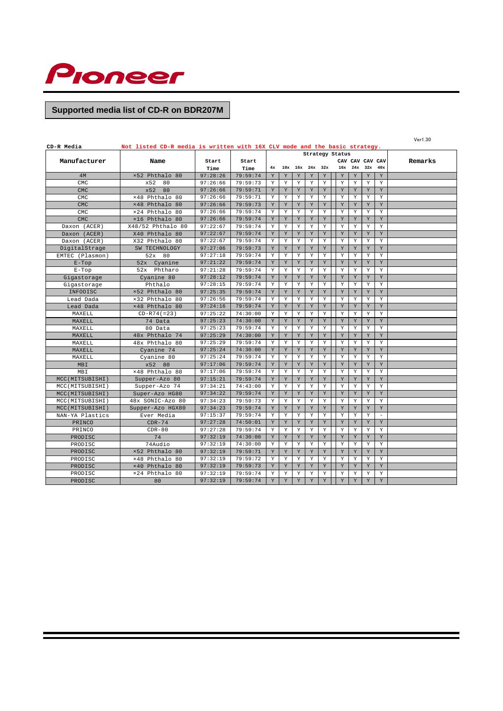

# **Supported media list of CD-R on BDR207M**

| CD-R Media        | Not listed CD-R media is written with 16X CLV mode and the basic strategy. |                      |                      |                  |                  |                  |                  |                  |                 |                  |                 |                          | Ver1.30 |
|-------------------|----------------------------------------------------------------------------|----------------------|----------------------|------------------|------------------|------------------|------------------|------------------|-----------------|------------------|-----------------|--------------------------|---------|
|                   |                                                                            |                      |                      |                  |                  |                  |                  |                  | Strategy Status |                  |                 |                          |         |
| Manufacturer      | Name                                                                       | Start                | Start                |                  |                  |                  |                  |                  |                 |                  | CAV CAV CAV CAV |                          | Remarks |
|                   |                                                                            | Time                 | Time                 | 4x               |                  |                  | 10x 16x 24x 32x  |                  | 16x             | $24x$ $32x$      |                 | 40x                      |         |
| 4M                | ×52 Phthalo 80                                                             | 97:28:26             | 79:59:74             | Y                | Y                | Y                | Y                | Y                | Y               | Y                | Y               | Y                        |         |
| CMC               | x52<br>80                                                                  | 97:26:66             | 79:59:73             | Y                | Υ                | Y                | $\mathbf Y$      | Y                | Y               | $\mathbf Y$      | Y               | Y                        |         |
| <b>CMC</b>        | x52<br>80                                                                  | 97:26:66             | 79:59:71             | $\mathbf Y$      | $\mathbf Y$      | Y                | $\mathbf Y$      | $\mathbf Y$      | Y               | $\mathbf Y$      | $\mathbf Y$     | $\mathbf Y$              |         |
| <b>CMC</b>        | ×48 Phthalo 80                                                             | 97:26:66             | 79:59:71             | Y                | Y                | Y                | Y                | Y                | Y               | Y                | Y               | Y                        |         |
| <b>CMC</b>        | ×48 Phthalo 80                                                             | 97:26:66             | 79:59:73             | Y                | Y                | Y                | Y                | Y                | Y               | Y                | $\mathbf Y$     | Y                        |         |
| CMC               | ×24 Phthalo 80                                                             | 97:26:66             | 79:59:74             | $\mathbf{v}$     | $\mathbf Y$      | $\mathbf Y$      | $\mathbf Y$      | Y                | Y               | $\mathbf Y$      | $\mathbf Y$     | Y                        |         |
| <b>CMC</b>        | ×16 Phthalo 80                                                             | 97:26:66             | 79:59:74             | $\mathbf Y$      | $\mathbf Y$      | $\mathbf Y$      | $\mathbf Y$      | $\mathbf Y$      | Y               | $\mathbf Y$      | Y               | Y                        |         |
| Daxon (ACER)      | X48/52 Phthalo 80                                                          | 97:22:67             | 79:59:74             | Y                | Υ                | Y                | $\mathbf Y$      | Y                | Υ               | Y                | $\mathbf Y$     | Y                        |         |
| Daxon (ACER)      | X40 Phthalo 80                                                             | 97:22:67             | 79:59:74             | $\mathbf Y$      | Y                | $\mathbf Y$      | $\mathbf Y$      | $\mathbf Y$      | Y               | $\mathbf Y$      | $\mathbf Y$     | $\mathbf Y$              |         |
| Daxon (ACER)      | X32 Phthalo 80                                                             | 97:22:67             | 79:59:74             | Y                | Υ                | Υ                | Y                | Y                | Y               | Y                | Y               | Y                        |         |
| DigitalStrage     | SW TECHNOLOGY                                                              | 97:27:06             | 79:59:73             | Y                | Y                | Y                | Y                | Y                | Y               | Y                | $\mathbf Y$     | Y                        |         |
| EMTEC (Plasmon)   | 52x 80                                                                     | 97:27:18             | 79:59:74             | Y                | Y                | Y                | Y                | Y                | Y               | Y                | Y               | Y                        |         |
| $E$ -Top          | Cyanine<br>52x                                                             | 97:21:22             | 79:59:74             | Y                | Y                | Y                | $\mathbf Y$      | Y                | Y               | Y                | $\mathbf Y$     | Y                        |         |
| $E-Top$           | 52x Phtharo                                                                | 97:21:28             | 79:59:74             | Y                | Y                | $\mathbf Y$      | $\mathbf Y$      | Y                | Y               | $\mathbf Y$      | $\mathbf Y$     | Y                        |         |
| Gigastorage       | Cyanine 80                                                                 | 97:28:12             | 79:59:74             | Y                | $\rm Y$          | $\mathbf Y$      | $\mathbf Y$      | $\mathbf Y$      | Y               | $\mathbf Y$      | $\mathbf Y$     | Y                        |         |
| Gigastorage       | Phthalo                                                                    | 97:28:15             | 79:59:74             | Y                | Υ                | Υ                | Y                | Y                | Y               | Y                | Y               | Y                        |         |
| INFODISC          | ×52 Phthalo 80                                                             | 97:25:35             | 79:59:74             | Y                | Y                | Y                | Y                | Y                | Y               | Y                | $\mathbf Y$     | Y                        |         |
| Lead Dada         | ×32 Phthalo 80                                                             | 97:26:56             | 79:59:74             | Y                | Y                | Y                | Y                | Y                | Y               | Y                | Y               | Y                        |         |
| Lead Dada         | ×48 Phthalo 80                                                             | 97:24:16             | 79:59:74             | Y                | Y                | Y                | Y                | Y                | Y               | Y                | Y               | Y                        |         |
| MAXELL            | $CD-R74 (=23)$                                                             | 97:25:22             | 74:30:00             | Y                | $\mathbf Y$      | Y                | Y                | Y                | Y               | Y                | $\mathbf Y$     | Y                        |         |
| MAXELL            | 74 Data                                                                    | 97:25:23             | 74:30:00             | $\mathbf Y$      | $\rm Y$          | $\mathbf Y$      | $\mathbf Y$      | $\mathbf Y$      | $\mathbf Y$     | $\mathbf Y$      | $\mathbf Y$     | Y                        |         |
| MAXELL            | 80 Data                                                                    | 97:25:23             | 79:59:74             | Y<br>$\mathbf Y$ | Y<br>$\mathbf Y$ | Y<br>$\mathbf Y$ | Y<br>$\mathbf Y$ | Y<br>$\mathbf Y$ | Y<br>Y          | Y<br>$\mathbf Y$ | Y               | Y<br>Y                   |         |
| MAXELL<br>MAXELL. | 48x Phthalo 74<br>48x Phthalo 80                                           | 97:25:29<br>97:25:29 | 74:30:00<br>79:59:74 | Υ                | Υ                | Υ                | Y                | Y                | Y               | Y                | Y<br>Y          | Y                        |         |
| MAXELL            | Cyanine 74                                                                 | 97:25:24             | 74:30:00             | Y                | Y                | Y                | Y                | Y                | Y               | $\mathbf Y$      | $\mathbf Y$     | Y                        |         |
| MAXELL            | Cyanine 80                                                                 | 97:25:24             | 79:59:74             | Y                | Y                | Y                | Y                | Y                | Y               | Y                | Y               | Y                        |         |
| MBI               | x52 80                                                                     | 97:17:06             | 79:59:74             | Y                | Y                | Y                | Y                | Y                | Y               | Y                | Y               | Y                        |         |
| MBI               | ×48 Phthalo 80                                                             | 97:17:06             | 79:59:74             | Y                | Y                | Υ                | $\mathbf Y$      | Y                | Y               | $\mathbf Y$      | $\mathbf Y$     | Y                        |         |
| MCC(MITSUBISHI)   | Supper-Azo 80                                                              | 97:15:21             | 79:59:74             | $\mathbf Y$      | $\rm Y$          | $\mathbf Y$      | $\mathbf Y$      | $\mathbf Y$      | $\rm Y$         | $\mathbf Y$      | $\mathbf Y$     | $\rm Y$                  |         |
| MCC(MITSUBISHI)   | Supper-Azo 74                                                              | 97:34:21             | 74:43:00             | Y                | Υ                | Y                | $\mathbf Y$      | Y                | Y               | Y                | Y               | Y                        |         |
| MCC(MITSUBISHI)   | Super-Azo HG80                                                             | 97:34:22             | 79:59:74             | Y                | Y                | Y                | Y                | Y                | Y               | $\mathbf Y$      | $\mathbf Y$     | Y                        |         |
| MCC(MITSUBISHI)   | 48x SONIC-Azo 80                                                           | 97:34:23             | 79:59:73             | Y                | Y                | Y                | $\mathbf Y$      | $\mathbf Y$      | Y               | Y                | Y               | Y                        |         |
| MCC(MITSUBISHI)   | Supper-Azo HGX80                                                           | 97:34:23             | 79:59:74             | Y                | $\mathbf Y$      | Y                | $\mathbf Y$      | Y                | Y               | $\mathbf Y$      | $\mathbf Y$     | Y                        |         |
| NAN-YA Plastics   | Ever Media                                                                 | 97:15:37             | 79:59:74             | Y                | Y                | Y                | Y                | Y                | Y               | Y                | $\mathbf Y$     | $\overline{\phantom{a}}$ |         |
| PRINCO            | $CDR-74$                                                                   | 97:27:28             | 74:50:01             | $\mathbf Y$      | $\mathbf Y$      | $\mathbf Y$      | $\mathbf Y$      | $\mathbf Y$      | Y               | $\mathbf Y$      | $\mathbf Y$     | Y                        |         |
| PRINCO            | $CDR-80$                                                                   | 97:27:28             | 79:59:74             | Y                | Υ                | Y                | Y                | Y                | Y               | Y                | $\mathbf Y$     | Y                        |         |
| PRODISC           | 74                                                                         | 97:32:19             | 74:30:00             | Y                | Y                | Y                | Y                | Y                | Y               | Y                | Y               | Y                        |         |
| PRODISC           | 74Audio                                                                    | 97:32:19             | 74:30:00             | Y                | $\mathbf Y$      | Y                | Y                | Y                | Y               | Y                | $\mathbf Y$     | Y                        |         |
| PRODISC           | ×52 Phthalo 80                                                             | 97:32:19             | 79:59:71             | Y                | Y                | $\mathbf Y$      | Y                | Y                | Y               | $\mathbf Y$      | $\mathbf Y$     | Y                        |         |
| PRODISC           | ×48 Phthalo 80                                                             | 97:32:19             | 79:59:72             | Y                | Υ                | Υ                | $\mathbf Y$      | Y                | Y               | Y                | $\mathbf Y$     | Y                        |         |
| PRODISC           | ×40 Phthalo 80                                                             | 97:32:19             | 79:59:73             | Y                | Y                | Y                | Y                | Y                | Y               | Y                | $\mathbf Y$     | Y                        |         |
| PRODISC           | ×24 Phthalo 80                                                             | 97:32:19             | 79:59:74             | Υ                | Y                | Υ                | Y                | Υ                | Y               | Y                | Y               | Y                        |         |
| PRODISC           | 80                                                                         | 97:32:19             | 79:59:74             | Y                | Y                | Y                | Y                | $\mathbf Y$      | Y               | $\mathbf Y$      | Y               | Y                        |         |
|                   |                                                                            |                      |                      |                  |                  |                  |                  |                  |                 |                  |                 |                          |         |

 $\sim$   $\sim$   $\sim$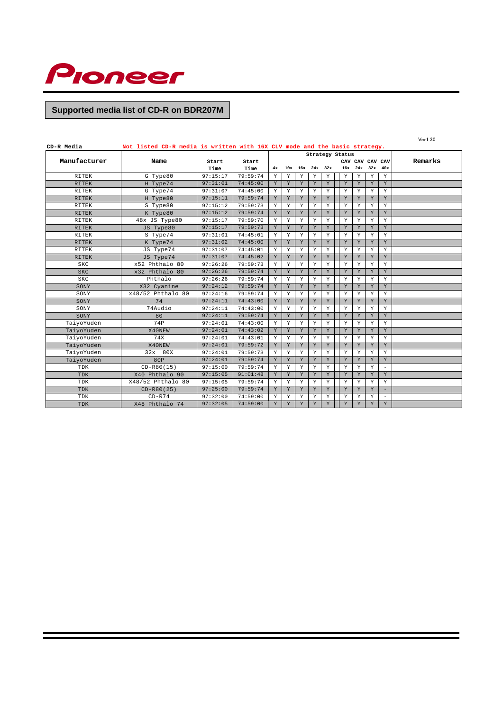

# **Supported media list of CD-R on BDR207M**

|              |                                                                            |          |          |    |              |                 |             |   |                 |             |                 |                          | Ver1.30 |
|--------------|----------------------------------------------------------------------------|----------|----------|----|--------------|-----------------|-------------|---|-----------------|-------------|-----------------|--------------------------|---------|
| CD-R Media   | Not listed CD-R media is written with 16X CLV mode and the basic strategy. |          |          |    |              |                 |             |   |                 |             |                 |                          |         |
| Manufacturer | Name                                                                       | Start    | Start    |    |              |                 |             |   | Strategy Status |             | CAV CAV CAV CAV |                          | Remarks |
|              |                                                                            | Time     | Time     | 4x |              | 10x 16x 24x 32x |             |   | 16x             |             | $24x$ $32x$     | 40x                      |         |
| RITEK        | G Type80                                                                   | 97:15:17 | 79:59:74 | Y  | Y            | Y               | Y           | Y | Y               | Y           | Y               | Y                        |         |
| <b>RITEK</b> | H Type74                                                                   | 97:31:01 | 74:45:00 | Y  | Y            | Y               | Y           | Y | Y               | Y           | Y               | Y                        |         |
| <b>RITEK</b> | G Type74                                                                   | 97:31:07 | 74:45:00 | Y  | Y            | Y               | Y           | Y | Y               | Υ           | Y               | Y                        |         |
| <b>RITEK</b> | H Type80                                                                   | 97:15:11 | 79:59:74 | Y  | Y            | Y               | Y           | Y | Y               | Y           | Y               | Y                        |         |
| <b>RITEK</b> | S Type80                                                                   | 97:15:12 | 79:59:73 | Υ  | Υ            | Y               | $\mathbf Y$ | Y | Y               | Y           | Y               | Y                        |         |
| <b>RITEK</b> | K Type80                                                                   | 97:15:12 | 79:59:74 | Y  | $\mathbf Y$  | Y               | $\mathbf Y$ | Y | Y               | $\mathbf Y$ | $\mathbf Y$     | Y                        |         |
| RITEK        | 48x JS Type80                                                              | 97:15:17 | 79:59:70 | Y  | Y            | Y               | Y           | Y | Y               | Y           | Y               | Y                        |         |
| <b>RITEK</b> | JS Type80                                                                  | 97:15:17 | 79:59:73 | Y  | Y            | Y               | $\mathbf Y$ | Y | Y               | $\mathbf Y$ | Y               | Y                        |         |
| <b>RITEK</b> | S Type74                                                                   | 97:31:01 | 74:45:01 | Y  | Y            | Y               | Y           | Y | Y               | Y           | Y               | Y                        |         |
| <b>RITEK</b> | K Type74                                                                   | 97:31:02 | 74:45:00 | Y  | Y            | Y               | Y           | Y | Y               | Y           | Y               | Y                        |         |
| RITEK        | JS Type74                                                                  | 97:31:07 | 74:45:01 | Y  | Y            | Y               | Y           | Y | Y               | Y           | Y               | Y                        |         |
| <b>RITEK</b> | JS Type74                                                                  | 97:31:07 | 74:45:02 | Y  | Y            | Y               | Y           | Y | Y               | Y           | Y               | Y                        |         |
| <b>SKC</b>   | x52 Phthalo 80                                                             | 97:26:26 | 79:59:73 | Y  | Y            | Y               | Y           | Y | Y               | Y           | Y               | Y                        |         |
| <b>SKC</b>   | x32 Phthalo 80                                                             | 97:26:26 | 79:59:74 | Y  | Y            | Y               | Y           | Y | Y               | Y           | Y               | Y                        |         |
| <b>SKC</b>   | Phthalo                                                                    | 97:26:26 | 79:59:74 | Y  | Y            | Y               | Y           | Y | Y               | Y           | Y               | Y                        |         |
| SONY         | X32 Cyanine                                                                | 97:24:12 | 79:59:74 | Y  | Y            | Y               | Y           | Y | Y               | Y           | Y               | Y                        |         |
| SONY         | x48/52 Phthalo 80                                                          | 97:24:16 | 79:59:74 | Y  | Y            | Y               | Y           | Y | Y               | Y           | Y               | Y                        |         |
| SONY         | 74                                                                         | 97:24:11 | 74:43:00 | Y  | Y            | Y               | Y           | Y | Y               | Y           | Y               | Y                        |         |
| SONY         | 74Audio                                                                    | 97:24:11 | 74:43:00 | Y  | Υ            | Y               | $\mathbf Y$ | Y | Y               | Y           | $\mathbf Y$     | Y                        |         |
| SONY         | 80                                                                         | 97:24:11 | 79:59:74 | Y  | Y            | Y               | Y           | Y | Y               | Y           | Y               | Y                        |         |
| TaiyoYuden   | 74P                                                                        | 97:24:01 | 74:43:00 | Y  | Y            | Y               | Y           | Y | Y               | Y           | Y               | Y                        |         |
| TaiyoYuden   | X40NEW                                                                     | 97:24:01 | 74:43:02 | Y  | Y            | Y               | Y           | Y | Y               | Y           | Y               | Y                        |         |
| TaiyoYuden   | 74X                                                                        | 97:24:01 | 74:43:01 | Y  | Y            | Y               | Y           | Y | Y               | Y           | Y               | Y                        |         |
| TaiyoYuden   | X40NEW                                                                     | 97:24:01 | 79:59:72 | Y  | Y            | $\mathbf Y$     | $\mathbf Y$ | Y | $\rm Y$         | $\mathbf Y$ | $\mathbf Y$     | Y                        |         |
| TaiyoYuden   | 32x 80X                                                                    | 97:24:01 | 79:59:73 | Y  | Y            | Y               | Y           | Y | Y               | Y           | Y               | Y                        |         |
| TaiyoYuden   | 80P                                                                        | 97:24:01 | 79:59:74 | Y  | Y            | Y               | Y           | Y | Y               | Y           | Y               | Y                        |         |
| TDK          | CD-R80(15)                                                                 | 97:15:00 | 79:59:74 | Y  | Y            | Y               | Y           | Y | Y               | Y           | Y               | $\overline{\phantom{a}}$ |         |
| TDK          | X40 Phthalo 90                                                             | 97:15:05 | 91:01:48 | Y  | Y            | Y               | Y           | Y | Y               | Y           | Y               | Y                        |         |
| TDK          | X48/52 Phthalo 80                                                          | 97:15:05 | 79:59:74 | Y  | Y            | Y               | Y           | Y | Y               | Y           | Y               | Y                        |         |
| TDK          | $CD-R80(25)$                                                               | 97:25:00 | 79:59:74 | Y  | Y            | Y               | Y           | Y | Y               | Y           | Y               | $\overline{\phantom{0}}$ |         |
| TDK          | $CD-R74$                                                                   | 97:32:00 | 74:59:00 | Y  | Y            | Y               | Y           | Y | Y               | Y           | Y               | $\overline{\phantom{a}}$ |         |
| TDK          | X48 Phthalo 74                                                             | 97:32:05 | 74:59:00 | Y  | $\mathbf{v}$ | Y               | Y           | Y | Y               | Y           | Y               | Y                        |         |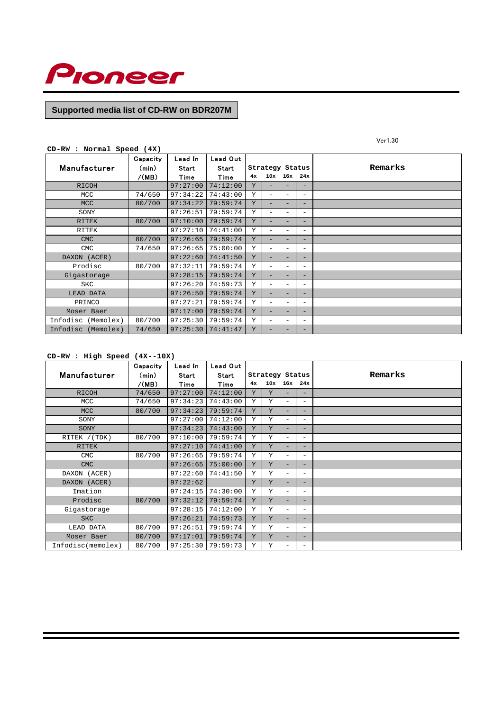

# **Supported media list of CD-RW on BDR207M**

| CD-RW : NOLMAI SPEEU (IA) |          |          |              |    |                          |                          |                          |         |
|---------------------------|----------|----------|--------------|----|--------------------------|--------------------------|--------------------------|---------|
|                           | Capacity | Lead In  | Lead Out     |    |                          |                          |                          |         |
| Manufacturer              | (min)    | Start    | <b>Start</b> |    | Strategy Status          |                          |                          | Remarks |
|                           | /(MB)    | Time     | Time         | 4x | 10x                      | $16x$ 24x                |                          |         |
| RICOH                     |          | 97:27:00 | 74:12:00     | Y  |                          |                          | -                        |         |
| MCC                       | 74/650   | 97:34:22 | 74:43:00     | Y  | $\qquad \qquad -$        | $\overline{\phantom{0}}$ | $\qquad \qquad -$        |         |
| <b>MCC</b>                | 80/700   | 97:34:22 | 79:59:74     | Y  |                          |                          | $-$                      |         |
| SONY                      |          | 97:26:51 | 79:59:74     | Y  | $\overline{\phantom{0}}$ | $\overline{\phantom{0}}$ | $\overline{\phantom{m}}$ |         |
| <b>RITEK</b>              | 80/700   | 97:10:00 | 79:59:74     | Y  |                          |                          | -                        |         |
| RITEK                     |          | 97:27:10 | 74:41:00     | Y  | $\overline{\phantom{0}}$ | $\overline{\phantom{0}}$ | -                        |         |
| <b>CMC</b>                | 80/700   | 97:26:65 | 79:59:74     | Y  |                          |                          | -                        |         |
| <b>CMC</b>                | 74/650   | 97:26:65 | 75:00:00     | Y  | $\overline{\phantom{0}}$ | $\overline{\phantom{0}}$ | -                        |         |
| DAXON (ACER)              |          | 97:22:60 | 74:41:50     | Y  |                          |                          | $-$                      |         |
| Prodisc                   | 80/700   | 97:32:11 | 79:59:74     | Y  |                          | $\overline{\phantom{0}}$ | $\overline{\phantom{0}}$ |         |
| Gigastorage               |          | 97:28:15 | 79:59:74     | Y  |                          |                          |                          |         |
| <b>SKC</b>                |          | 97:26:20 | 74:59:73     | Y  | $\overline{\phantom{0}}$ | $\overline{\phantom{0}}$ | $\qquad \qquad -$        |         |
| LEAD DATA                 |          | 97:26:50 | 79:59:74     | Y  | Ξ.                       |                          | -                        |         |
| PRINCO                    |          | 97:27:21 | 79:59:74     | Y  | $\overline{\phantom{a}}$ | -                        | $\qquad \qquad -$        |         |
| Moser Baer                |          | 97:17:00 | 79:59:74     | Y  |                          |                          | -                        |         |
| Infodisc (Memolex)        | 80/700   | 97:25:30 | 79:59:74     | Y  |                          | $\overline{\phantom{0}}$ | $\overline{\phantom{0}}$ |         |
| Infodisc (Memolex)        | 74/650   | 97:25:30 | 74:41:47     | Y  |                          |                          | -                        |         |

## **CD-RW : Normal Speed (4X)**

#### **CD-RW : High Speed (4X--10X)**

| Manufacturer      | Capacity<br>(min) | Lead In<br>Start | Lead Out<br>Start |    | Strategy Status |                          |                          | Remarks |
|-------------------|-------------------|------------------|-------------------|----|-----------------|--------------------------|--------------------------|---------|
|                   | /(MB)             | Time             | Time              | 4x | 10x             |                          | $16x$ 24x                |         |
| <b>RICOH</b>      | 74/650            | 97:27:00         | 74:12:00          | Y  | Y               | -                        | -                        |         |
| MCC               | 74/650            | 97:34:23         | 74:43:00          | Y  | Y               | $\equiv$                 | $\overline{\phantom{m}}$ |         |
| <b>MCC</b>        | 80/700            | 97:34:23         | 79:59:74          | Y  | Y               | $\overline{\phantom{0}}$ | $\qquad \qquad -$        |         |
| SONY              |                   | 97:27:00         | 74:12:00          | Y  | Υ               | $\overline{\phantom{m}}$ | $\overline{\phantom{m}}$ |         |
| SONY              |                   | 97:34:23         | 74:43:00          | Y  | Y               |                          | $\overline{\phantom{0}}$ |         |
| RITEK / (TDK)     | 80/700            | 97:10:00         | 79:59:74          | Y  | Υ               | $\equiv$                 | $\overline{\phantom{m}}$ |         |
| <b>RITEK</b>      |                   | 97:27:10         | 74:41:00          | Y  | Y               | -                        | $\overline{\phantom{0}}$ |         |
| <b>CMC</b>        | 80/700            | 97:26:65         | 79:59:74          | Y  | Y               | $\equiv$                 | $\equiv$                 |         |
| <b>CMC</b>        |                   | 97:26:65         | 75:00:00          | Y  | Y               | $\overline{\phantom{0}}$ | -                        |         |
| DAXON (ACER)      |                   | 97:22:60         | 74:41:50          | Y  | Y               | $\equiv$                 | $\overline{\phantom{0}}$ |         |
| DAXON (ACER)      |                   | 97:22:62         |                   | Y  | Y               | $\overline{\phantom{0}}$ | $\overline{\phantom{0}}$ |         |
| Imation           |                   | 97:24:15         | 74:30:00          | Y  | Y               | $\equiv$                 | -                        |         |
| Prodisc           | 80/700            | 97:32:12         | 79:59:74          | Y  | Y               | -                        | $\qquad \qquad -$        |         |
| Gigastorage       |                   | 97:28:15         | 74:12:00          | Y  | Y               | $\overline{\phantom{0}}$ | -                        |         |
| <b>SKC</b>        |                   | 97:26:21         | 74:59:73          | Y  | Y               | $\overline{\phantom{0}}$ | $\overline{\phantom{0}}$ |         |
| LEAD DATA         | 80/700            | 97:26:51         | 79:59:74          | Y  | Υ               | $\overline{\phantom{0}}$ | -                        |         |
| Moser Baer        | 80/700            | 97:17:01         | 79:59:74          | Y  | Y               | -                        | $\qquad \qquad -$        |         |
| Infodisc(memolex) | 80/700            | 97:25:30         | 79:59:73          | Y  | Υ               |                          | $\qquad \qquad -$        |         |